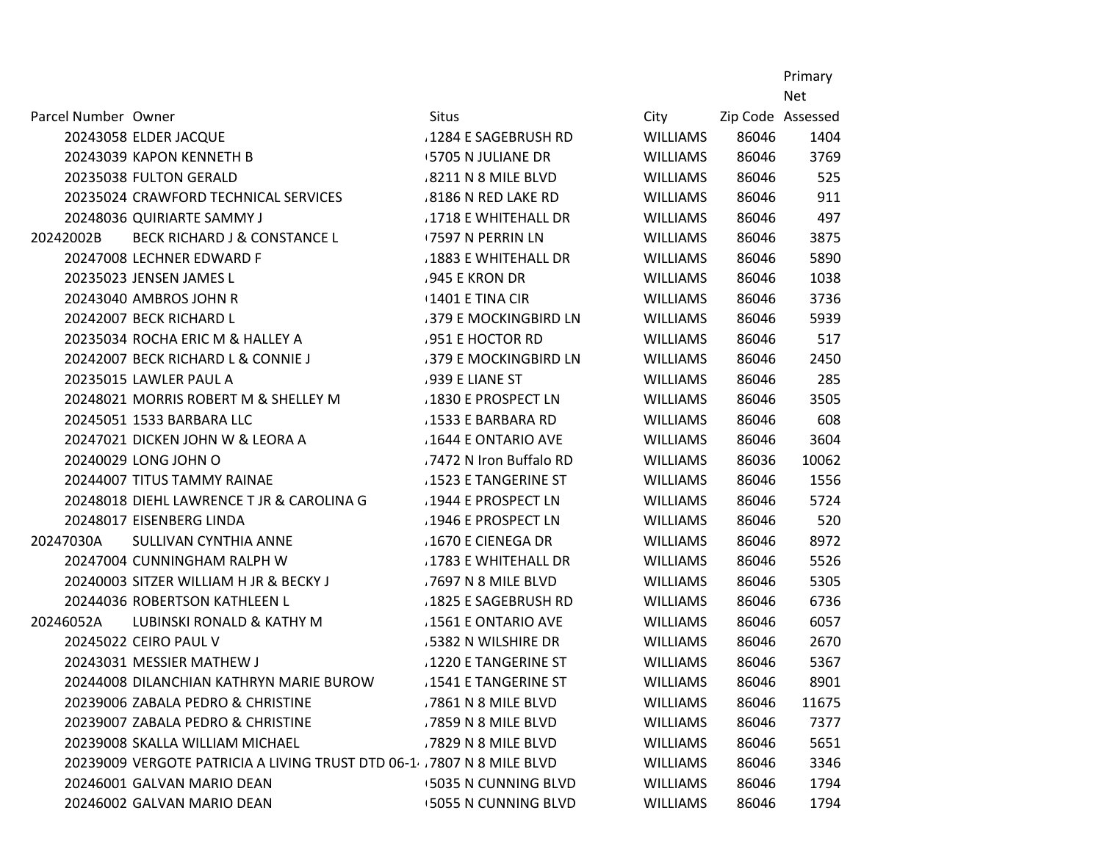Primary

|                     |                                                                      |                            |                 |                   | <b>Net</b> |
|---------------------|----------------------------------------------------------------------|----------------------------|-----------------|-------------------|------------|
| Parcel Number Owner |                                                                      | <b>Situs</b>               | City            | Zip Code Assessed |            |
|                     | 20243058 ELDER JACQUE                                                | .1284 E SAGEBRUSH RD       | <b>WILLIAMS</b> | 86046             | 1404       |
|                     | 20243039 KAPON KENNETH B                                             | <b>5705 N JULIANE DR</b>   | WILLIAMS        | 86046             | 3769       |
|                     | 20235038 FULTON GERALD                                               | 8211 N 8 MILE BLVD         | WILLIAMS        | 86046             | 525        |
|                     | 20235024 CRAWFORD TECHNICAL SERVICES                                 | .8186 N RED LAKE RD        | WILLIAMS        | 86046             | 911        |
|                     | 20248036 QUIRIARTE SAMMY J                                           | .1718 E WHITEHALL DR       | <b>WILLIAMS</b> | 86046             | 497        |
| 20242002B           | <b>BECK RICHARD J &amp; CONSTANCE L</b>                              | <b>7597 N PERRIN LN</b>    | <b>WILLIAMS</b> | 86046             | 3875       |
|                     | 20247008 LECHNER EDWARD F                                            | .1883 E WHITEHALL DR       | <b>WILLIAMS</b> | 86046             | 5890       |
|                     | 20235023 JENSEN JAMES L                                              | .945 E KRON DR             | <b>WILLIAMS</b> | 86046             | 1038       |
|                     | 20243040 AMBROS JOHN R                                               | $\pm 1401$ E TINA CIR      | <b>WILLIAMS</b> | 86046             | 3736       |
|                     | 20242007 BECK RICHARD L                                              | .379 E MOCKINGBIRD LN      | <b>WILLIAMS</b> | 86046             | 5939       |
|                     | 20235034 ROCHA ERIC M & HALLEY A                                     | 951 E HOCTOR RD            | <b>WILLIAMS</b> | 86046             | 517        |
|                     | 20242007 BECK RICHARD L & CONNIE J                                   | .379 E MOCKINGBIRD LN      | <b>WILLIAMS</b> | 86046             | 2450       |
|                     | 20235015 LAWLER PAUL A                                               | .939 E LIANE ST            | <b>WILLIAMS</b> | 86046             | 285        |
|                     | 20248021 MORRIS ROBERT M & SHELLEY M                                 | 1830 E PROSPECT LN         | <b>WILLIAMS</b> | 86046             | 3505       |
|                     | 20245051 1533 BARBARA LLC                                            | .1533 E BARBARA RD         | WILLIAMS        | 86046             | 608        |
|                     | 20247021 DICKEN JOHN W & LEORA A                                     | 1644 E ONTARIO AVE         | <b>WILLIAMS</b> | 86046             | 3604       |
|                     | 20240029 LONG JOHN O                                                 | .7472 N Iron Buffalo RD    | <b>WILLIAMS</b> | 86036             | 10062      |
|                     | 20244007 TITUS TAMMY RAINAE                                          | .1523 E TANGERINE ST       | <b>WILLIAMS</b> | 86046             | 1556       |
|                     | 20248018 DIEHL LAWRENCE T JR & CAROLINA G                            | 1944 E PROSPECT LN         | <b>WILLIAMS</b> | 86046             | 5724       |
|                     | 20248017 EISENBERG LINDA                                             | 1946 E PROSPECT LN         | <b>WILLIAMS</b> | 86046             | 520        |
| 20247030A           | SULLIVAN CYNTHIA ANNE                                                | 1670 E CIENEGA DR          | <b>WILLIAMS</b> | 86046             | 8972       |
|                     | 20247004 CUNNINGHAM RALPH W                                          | .1783 E WHITEHALL DR       | <b>WILLIAMS</b> | 86046             | 5526       |
|                     | 20240003 SITZER WILLIAM H JR & BECKY J                               | .7697 N 8 MILE BLVD        | <b>WILLIAMS</b> | 86046             | 5305       |
|                     | 20244036 ROBERTSON KATHLEEN L                                        | .1825 E SAGEBRUSH RD       | <b>WILLIAMS</b> | 86046             | 6736       |
| 20246052A           | LUBINSKI RONALD & KATHY M                                            | 1561 E ONTARIO AVE         | <b>WILLIAMS</b> | 86046             | 6057       |
|                     | 20245022 CEIRO PAUL V                                                | 5382 N WILSHIRE DR         | <b>WILLIAMS</b> | 86046             | 2670       |
|                     | 20243031 MESSIER MATHEW J                                            | .1220 E TANGERINE ST       | <b>WILLIAMS</b> | 86046             | 5367       |
|                     | 20244008 DILANCHIAN KATHRYN MARIE BUROW                              | .1541 E TANGERINE ST       | WILLIAMS        | 86046             | 8901       |
|                     | 20239006 ZABALA PEDRO & CHRISTINE                                    | .7861 N 8 MILE BLVD        | <b>WILLIAMS</b> | 86046             | 11675      |
|                     | 20239007 ZABALA PEDRO & CHRISTINE                                    | .7859 N 8 MILE BLVD        | <b>WILLIAMS</b> | 86046             | 7377       |
|                     | 20239008 SKALLA WILLIAM MICHAEL                                      | .7829 N 8 MILE BLVD        | <b>WILLIAMS</b> | 86046             | 5651       |
|                     | 20239009 VERGOTE PATRICIA A LIVING TRUST DTD 06-1 7807 N 8 MILE BLVD |                            | <b>WILLIAMS</b> | 86046             | 3346       |
|                     | 20246001 GALVAN MARIO DEAN                                           | <b>5035 N CUNNING BLVD</b> | <b>WILLIAMS</b> | 86046             | 1794       |
|                     | 20246002 GALVAN MARIO DEAN                                           | <b>5055 N CUNNING BLVD</b> | <b>WILLIAMS</b> | 86046             | 1794       |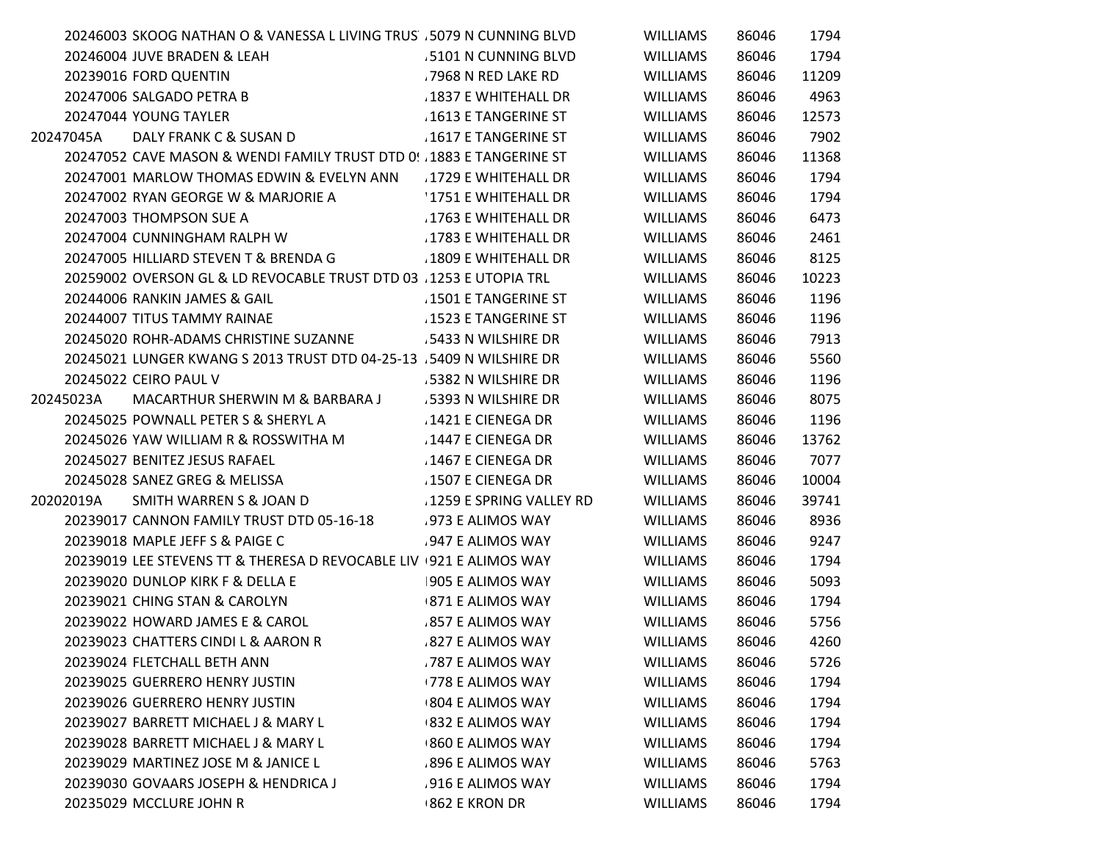|           | 20246003 SKOOG NATHAN O & VANESSA L LIVING TRUS . 5079 N CUNNING BLVD |                           | <b>WILLIAMS</b> | 86046 | 1794  |
|-----------|-----------------------------------------------------------------------|---------------------------|-----------------|-------|-------|
|           | 20246004 JUVE BRADEN & LEAH                                           | 5101 N CUNNING BLVD       | WILLIAMS        | 86046 | 1794  |
|           | 20239016 FORD QUENTIN                                                 | .7968 N RED LAKE RD       | <b>WILLIAMS</b> | 86046 | 11209 |
|           | 20247006 SALGADO PETRA B                                              | 1837 E WHITEHALL DR       | <b>WILLIAMS</b> | 86046 | 4963  |
|           | 20247044 YOUNG TAYLER                                                 | 1613 E TANGERINE ST       | <b>WILLIAMS</b> | 86046 | 12573 |
| 20247045A | DALY FRANK C & SUSAN D                                                | .1617 E TANGERINE ST      | <b>WILLIAMS</b> | 86046 | 7902  |
|           | 20247052 CAVE MASON & WENDI FAMILY TRUST DTD 0! . 1883 E TANGERINE ST |                           | <b>WILLIAMS</b> | 86046 | 11368 |
|           | 20247001 MARLOW THOMAS EDWIN & EVELYN ANN 1729 E WHITEHALL DR         |                           | <b>WILLIAMS</b> | 86046 | 1794  |
|           | 20247002 RYAN GEORGE W & MARJORIE A                                   | 1751 E WHITEHALL DR       | <b>WILLIAMS</b> | 86046 | 1794  |
|           | 20247003 THOMPSON SUE A                                               | .1763 E WHITEHALL DR      | <b>WILLIAMS</b> | 86046 | 6473  |
|           | 20247004 CUNNINGHAM RALPH W                                           | .1783 E WHITEHALL DR      | <b>WILLIAMS</b> | 86046 | 2461  |
|           | 20247005 HILLIARD STEVEN T & BRENDA G                                 | 1809 E WHITEHALL DR       | WILLIAMS        | 86046 | 8125  |
|           | 20259002 OVERSON GL & LD REVOCABLE TRUST DTD 03 . 1253 E UTOPIA TRL   |                           | <b>WILLIAMS</b> | 86046 | 10223 |
|           | 20244006 RANKIN JAMES & GAIL                                          | 1501 E TANGERINE ST       | <b>WILLIAMS</b> | 86046 | 1196  |
|           | 20244007 TITUS TAMMY RAINAE                                           | .1523 E TANGERINE ST      | WILLIAMS        | 86046 | 1196  |
|           | 20245020 ROHR-ADAMS CHRISTINE SUZANNE 5433 N WILSHIRE DR              |                           | WILLIAMS        | 86046 | 7913  |
|           | 20245021 LUNGER KWANG S 2013 TRUST DTD 04-25-13 . 5409 N WILSHIRE DR  |                           | <b>WILLIAMS</b> | 86046 | 5560  |
|           | 20245022 CEIRO PAUL V                                                 | .5382 N WILSHIRE DR       | <b>WILLIAMS</b> | 86046 | 1196  |
| 20245023A | MACARTHUR SHERWIN M & BARBARA J                                       | .5393 N WILSHIRE DR       | <b>WILLIAMS</b> | 86046 | 8075  |
|           | 20245025 POWNALL PETER S & SHERYL A                                   | 1421 E CIENEGA DR         | <b>WILLIAMS</b> | 86046 | 1196  |
|           | 20245026 YAW WILLIAM R & ROSSWITHA M                                  | 1447 E CIENEGA DR         | WILLIAMS        | 86046 | 13762 |
|           | 20245027 BENITEZ JESUS RAFAEL                                         | 1467 E CIENEGA DR         | <b>WILLIAMS</b> | 86046 | 7077  |
|           | 20245028 SANEZ GREG & MELISSA                                         | 1507 E CIENEGA DR         | <b>WILLIAMS</b> | 86046 | 10004 |
| 20202019A | SMITH WARREN S & JOAN D                                               | . 1259 E SPRING VALLEY RD | <b>WILLIAMS</b> | 86046 | 39741 |
|           | 20239017 CANNON FAMILY TRUST DTD 05-16-18                             | .973 E ALIMOS WAY         | <b>WILLIAMS</b> | 86046 | 8936  |
|           | 20239018 MAPLE JEFF S & PAIGE C                                       | .947 E ALIMOS WAY         | WILLIAMS        | 86046 | 9247  |
|           | 20239019 LEE STEVENS TT & THERESA D REVOCABLE LIV 921 E ALIMOS WAY    |                           | <b>WILLIAMS</b> | 86046 | 1794  |
|           | 20239020 DUNLOP KIRK F & DELLA E                                      | 905 E ALIMOS WAY          | <b>WILLIAMS</b> | 86046 | 5093  |
|           | 20239021 CHING STAN & CAROLYN                                         | <b>871 E ALIMOS WAY</b>   | <b>WILLIAMS</b> | 86046 | 1794  |
|           | 20239022 HOWARD JAMES E & CAROL                                       | 857 E ALIMOS WAY          | <b>WILLIAMS</b> | 86046 | 5756  |
|           | 20239023 CHATTERS CINDI L & AARON R                                   | .827 E ALIMOS WAY         | <b>WILLIAMS</b> | 86046 | 4260  |
|           | 20239024 FLETCHALL BETH ANN                                           | 787 E ALIMOS WAY          | <b>WILLIAMS</b> | 86046 | 5726  |
|           | 20239025 GUERRERO HENRY JUSTIN                                        | <b>778 E ALIMOS WAY</b>   | <b>WILLIAMS</b> | 86046 | 1794  |
|           | 20239026 GUERRERO HENRY JUSTIN                                        | <b>804 E ALIMOS WAY</b>   | WILLIAMS        | 86046 | 1794  |
|           | 20239027 BARRETT MICHAEL J & MARY L                                   | <b>832 E ALIMOS WAY</b>   | <b>WILLIAMS</b> | 86046 | 1794  |
|           | 20239028 BARRETT MICHAEL J & MARY L                                   | 860 E ALIMOS WAY          | <b>WILLIAMS</b> | 86046 | 1794  |
|           | 20239029 MARTINEZ JOSE M & JANICE L                                   | .896 E ALIMOS WAY         | <b>WILLIAMS</b> | 86046 | 5763  |
|           | 20239030 GOVAARS JOSEPH & HENDRICA J                                  | 916 E ALIMOS WAY          | <b>WILLIAMS</b> | 86046 | 1794  |
|           | 20235029 MCCLURE JOHN R                                               | <b>862 E KRON DR</b>      | <b>WILLIAMS</b> | 86046 | 1794  |
|           |                                                                       |                           |                 |       |       |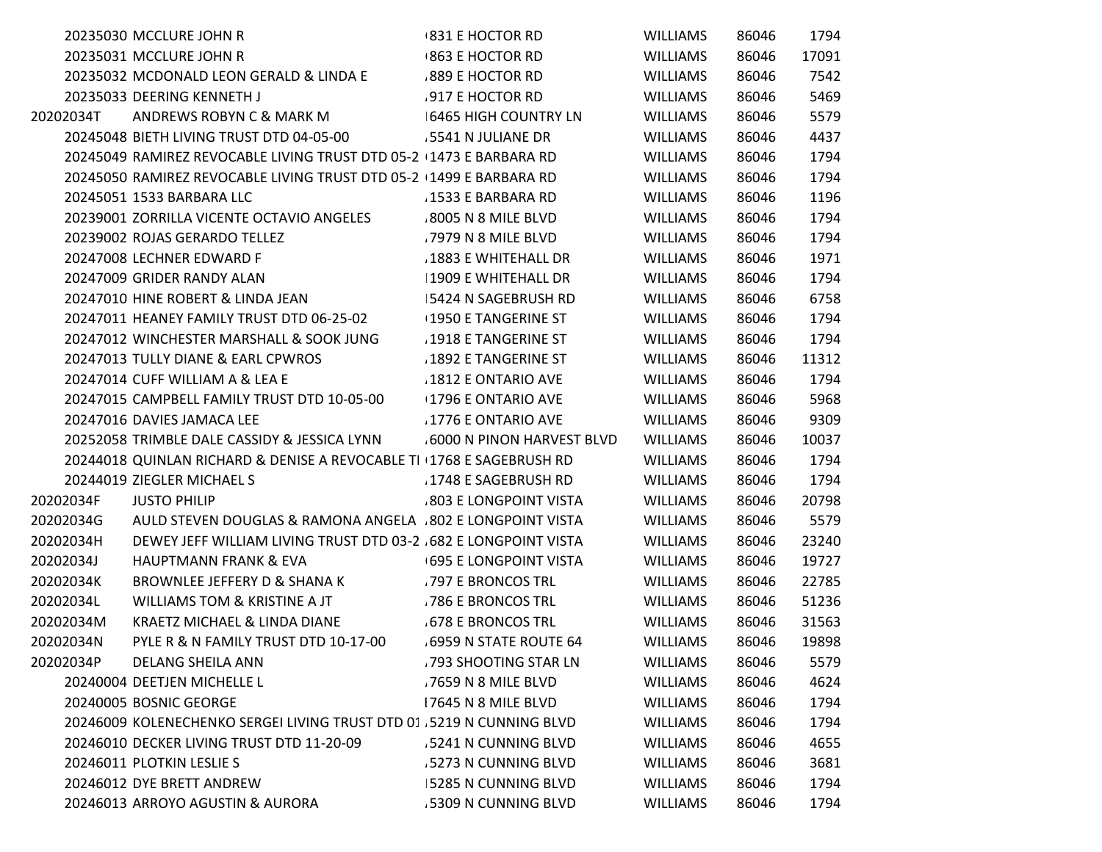|           | 20235030 MCCLURE JOHN R                                               | +831 E HOCTOR RD             | <b>WILLIAMS</b> | 86046 | 1794  |
|-----------|-----------------------------------------------------------------------|------------------------------|-----------------|-------|-------|
|           | 20235031 MCCLURE JOHN R                                               | <b>863 E HOCTOR RD</b>       | <b>WILLIAMS</b> | 86046 | 17091 |
|           | 20235032 MCDONALD LEON GERALD & LINDA E                               | 889 E HOCTOR RD              | <b>WILLIAMS</b> | 86046 | 7542  |
|           | 20235033 DEERING KENNETH J                                            | 917 E HOCTOR RD              | <b>WILLIAMS</b> | 86046 | 5469  |
| 20202034T | ANDREWS ROBYN C & MARK M                                              | 6465 HIGH COUNTRY LN         | <b>WILLIAMS</b> | 86046 | 5579  |
|           | 20245048 BIETH LIVING TRUST DTD 04-05-00                              | .5541 N JULIANE DR           | <b>WILLIAMS</b> | 86046 | 4437  |
|           | 20245049 RAMIREZ REVOCABLE LIVING TRUST DTD 05-2 1473 E BARBARA RD    |                              | <b>WILLIAMS</b> | 86046 | 1794  |
|           | 20245050 RAMIREZ REVOCABLE LIVING TRUST DTD 05-2 1499 E BARBARA RD    |                              | <b>WILLIAMS</b> | 86046 | 1794  |
|           | 20245051 1533 BARBARA LLC                                             | .1533 E BARBARA RD           | <b>WILLIAMS</b> | 86046 | 1196  |
|           | 20239001 ZORRILLA VICENTE OCTAVIO ANGELES                             | .8005 N 8 MILE BLVD          | <b>WILLIAMS</b> | 86046 | 1794  |
|           | 20239002 ROJAS GERARDO TELLEZ                                         | .7979 N 8 MILE BLVD          | <b>WILLIAMS</b> | 86046 | 1794  |
|           | 20247008 LECHNER EDWARD F                                             | .1883 E WHITEHALL DR         | <b>WILLIAMS</b> | 86046 | 1971  |
|           | 20247009 GRIDER RANDY ALAN                                            | 1909 E WHITEHALL DR          | <b>WILLIAMS</b> | 86046 | 1794  |
|           | 20247010 HINE ROBERT & LINDA JEAN                                     | 5424 N SAGEBRUSH RD          | <b>WILLIAMS</b> | 86046 | 6758  |
|           | 20247011 HEANEY FAMILY TRUST DTD 06-25-02                             | <b>1950 E TANGERINE ST</b>   | <b>WILLIAMS</b> | 86046 | 1794  |
|           | 20247012 WINCHESTER MARSHALL & SOOK JUNG                              | 1918 E TANGERINE ST          | <b>WILLIAMS</b> | 86046 | 1794  |
|           | 20247013 TULLY DIANE & EARL CPWROS                                    | 1892 E TANGERINE ST          | <b>WILLIAMS</b> | 86046 | 11312 |
|           | 20247014 CUFF WILLIAM A & LEA E                                       | .1812 E ONTARIO AVE          | <b>WILLIAMS</b> | 86046 | 1794  |
|           | 20247015 CAMPBELL FAMILY TRUST DTD 10-05-00                           | <b>1796 E ONTARIO AVE</b>    | <b>WILLIAMS</b> | 86046 | 5968  |
|           | 20247016 DAVIES JAMACA LEE                                            | 1776 E ONTARIO AVE           | <b>WILLIAMS</b> | 86046 | 9309  |
|           | 20252058 TRIMBLE DALE CASSIDY & JESSICA LYNN                          | 6000 N PINON HARVEST BLVD    | <b>WILLIAMS</b> | 86046 | 10037 |
|           | 20244018 QUINLAN RICHARD & DENISE A REVOCABLE TI 1768 E SAGEBRUSH RD  |                              | <b>WILLIAMS</b> | 86046 | 1794  |
|           | 20244019 ZIEGLER MICHAEL S                                            | 1748 E SAGEBRUSH RD          | <b>WILLIAMS</b> | 86046 | 1794  |
| 20202034F | <b>JUSTO PHILIP</b>                                                   | .803 E LONGPOINT VISTA       | <b>WILLIAMS</b> | 86046 | 20798 |
| 20202034G | AULD STEVEN DOUGLAS & RAMONA ANGELA .802 E LONGPOINT VISTA            |                              | <b>WILLIAMS</b> | 86046 | 5579  |
| 20202034H | DEWEY JEFF WILLIAM LIVING TRUST DTD 03-2 .682 E LONGPOINT VISTA       |                              | <b>WILLIAMS</b> | 86046 | 23240 |
| 20202034J | <b>HAUPTMANN FRANK &amp; EVA</b>                                      | <b>695 E LONGPOINT VISTA</b> | <b>WILLIAMS</b> | 86046 | 19727 |
| 20202034K | BROWNLEE JEFFERY D & SHANA K                                          | .797 E BRONCOS TRL           | <b>WILLIAMS</b> | 86046 | 22785 |
| 20202034L | WILLIAMS TOM & KRISTINE A JT                                          | 786 E BRONCOS TRL            | <b>WILLIAMS</b> | 86046 | 51236 |
| 20202034M | KRAETZ MICHAEL & LINDA DIANE                                          | <b>678 E BRONCOS TRL</b>     | <b>WILLIAMS</b> | 86046 | 31563 |
| 20202034N | PYLE R & N FAMILY TRUST DTD 10-17-00                                  | 6959 N STATE ROUTE 64        | <b>WILLIAMS</b> | 86046 | 19898 |
| 20202034P | <b>DELANG SHEILA ANN</b>                                              | .793 SHOOTING STAR LN        | <b>WILLIAMS</b> | 86046 | 5579  |
|           | 20240004 DEETJEN MICHELLE L                                           | .7659 N 8 MILE BLVD          | <b>WILLIAMS</b> | 86046 | 4624  |
|           | 20240005 BOSNIC GEORGE                                                | 17645 N 8 MILE BLVD          | <b>WILLIAMS</b> | 86046 | 1794  |
|           | 20246009 KOLENECHENKO SERGEI LIVING TRUST DTD 01 .5219 N CUNNING BLVD |                              | <b>WILLIAMS</b> | 86046 | 1794  |
|           | 20246010 DECKER LIVING TRUST DTD 11-20-09                             | 5241 N CUNNING BLVD          | <b>WILLIAMS</b> | 86046 | 4655  |
|           | 20246011 PLOTKIN LESLIE S                                             | .5273 N CUNNING BLVD         | <b>WILLIAMS</b> | 86046 | 3681  |
|           | 20246012 DYE BRETT ANDREW                                             | 5285 N CUNNING BLVD          | <b>WILLIAMS</b> | 86046 | 1794  |
|           | 20246013 ARROYO AGUSTIN & AURORA                                      | .5309 N CUNNING BLVD         | <b>WILLIAMS</b> | 86046 | 1794  |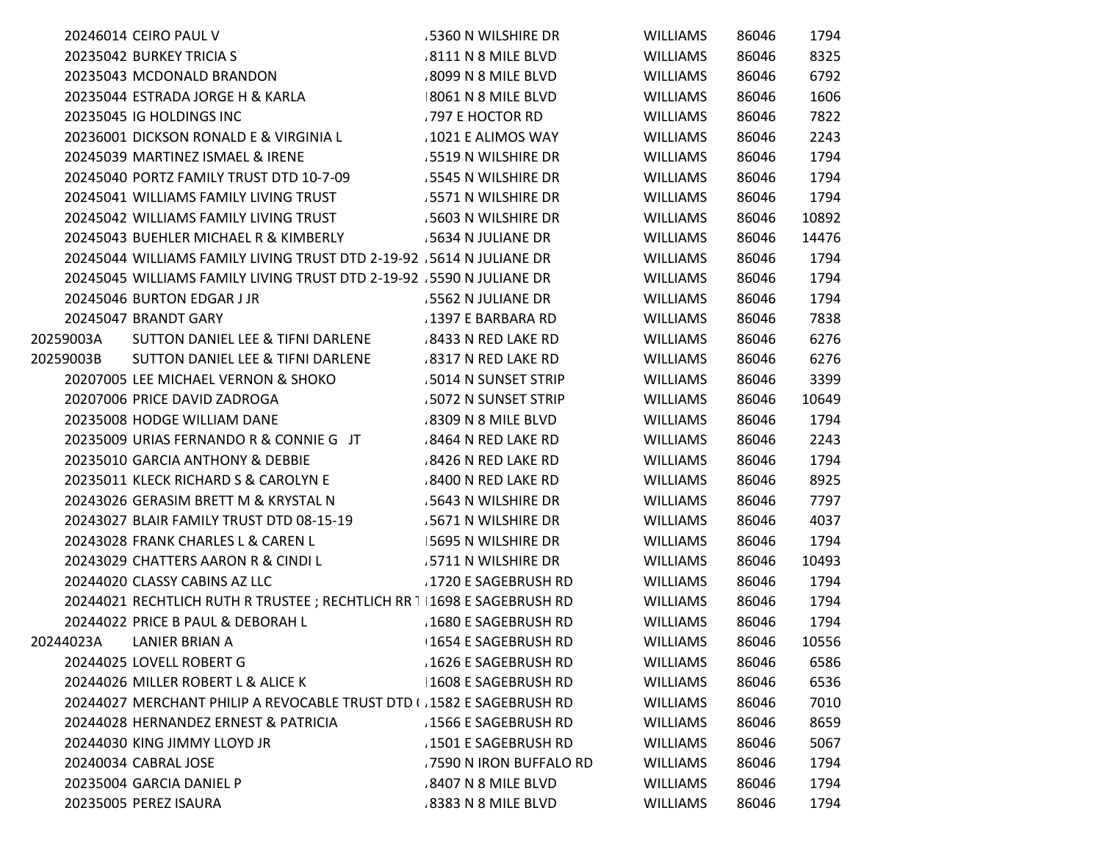|           | 20246014 CEIRO PAUL V                                                  | 5360 N WILSHIRE DR         | WILLIAMS        | 86046 | 1794  |
|-----------|------------------------------------------------------------------------|----------------------------|-----------------|-------|-------|
|           | 20235042 BURKEY TRICIA S                                               | 8111 N 8 MILE BLVD         | WILLIAMS        | 86046 | 8325  |
|           | 20235043 MCDONALD BRANDON                                              | .8099 N 8 MILE BLVD        | <b>WILLIAMS</b> | 86046 | 6792  |
|           | 20235044 ESTRADA JORGE H & KARLA                                       | 8061 N 8 MILE BLVD         | <b>WILLIAMS</b> | 86046 | 1606  |
|           | 20235045 IG HOLDINGS INC                                               | .797 E HOCTOR RD           | <b>WILLIAMS</b> | 86046 | 7822  |
|           | 20236001 DICKSON RONALD E & VIRGINIA L                                 | 1021 E ALIMOS WAY          | WILLIAMS        | 86046 | 2243  |
|           | 20245039 MARTINEZ ISMAEL & IRENE                                       | .5519 N WILSHIRE DR        | <b>WILLIAMS</b> | 86046 | 1794  |
|           | 20245040 PORTZ FAMILY TRUST DTD 10-7-09                                | .5545 N WILSHIRE DR        | <b>WILLIAMS</b> | 86046 | 1794  |
|           | 20245041 WILLIAMS FAMILY LIVING TRUST                                  | .5571 N WILSHIRE DR        | <b>WILLIAMS</b> | 86046 | 1794  |
|           | 20245042 WILLIAMS FAMILY LIVING TRUST                                  | .5603 N WILSHIRE DR        | <b>WILLIAMS</b> | 86046 | 10892 |
|           | 20245043 BUEHLER MICHAEL R & KIMBERLY                                  | .5634 N JULIANE DR         | <b>WILLIAMS</b> | 86046 | 14476 |
|           | 20245044 WILLIAMS FAMILY LIVING TRUST DTD 2-19-92 .5614 N JULIANE DR   |                            | WILLIAMS        | 86046 | 1794  |
|           | 20245045 WILLIAMS FAMILY LIVING TRUST DTD 2-19-92 .5590 N JULIANE DR   |                            | <b>WILLIAMS</b> | 86046 | 1794  |
|           | 20245046 BURTON EDGAR J JR                                             | .5562 N JULIANE DR         | <b>WILLIAMS</b> | 86046 | 1794  |
|           | 20245047 BRANDT GARY                                                   | 1397 E BARBARA RD          | WILLIAMS        | 86046 | 7838  |
| 20259003A | SUTTON DANIEL LEE & TIFNI DARLENE                                      | .8433 N RED LAKE RD        | <b>WILLIAMS</b> | 86046 | 6276  |
| 20259003B | SUTTON DANIEL LEE & TIFNI DARLENE                                      | .8317 N RED LAKE RD        | <b>WILLIAMS</b> | 86046 | 6276  |
|           | 20207005 LEE MICHAEL VERNON & SHOKO                                    | 5014 N SUNSET STRIP        | <b>WILLIAMS</b> | 86046 | 3399  |
|           | 20207006 PRICE DAVID ZADROGA                                           | 5072 N SUNSET STRIP        | <b>WILLIAMS</b> | 86046 | 10649 |
|           | 20235008 HODGE WILLIAM DANE                                            | 8309 N 8 MILE BLVD         | WILLIAMS        | 86046 | 1794  |
|           | 20235009 URIAS FERNANDO R & CONNIE G JT                                | .8464 N RED LAKE RD        | <b>WILLIAMS</b> | 86046 | 2243  |
|           | 20235010 GARCIA ANTHONY & DEBBIE                                       | 8426 N RED LAKE RD         | <b>WILLIAMS</b> | 86046 | 1794  |
|           | 20235011 KLECK RICHARD S & CAROLYN E                                   | 8400 N RED LAKE RD         | <b>WILLIAMS</b> | 86046 | 8925  |
|           | 20243026 GERASIM BRETT M & KRYSTAL N                                   | .5643 N WILSHIRE DR        | <b>WILLIAMS</b> | 86046 | 7797  |
|           | 20243027 BLAIR FAMILY TRUST DTD 08-15-19                               | 5671 N WILSHIRE DR         | WILLIAMS        | 86046 | 4037  |
|           | 20243028 FRANK CHARLES L & CAREN L                                     | <b>5695 N WILSHIRE DR</b>  | <b>WILLIAMS</b> | 86046 | 1794  |
|           | 20243029 CHATTERS AARON R & CINDI L                                    | 5711 N WILSHIRE DR         | <b>WILLIAMS</b> | 86046 | 10493 |
|           | 20244020 CLASSY CABINS AZ LLC                                          | 1720 E SAGEBRUSH RD        | <b>WILLIAMS</b> | 86046 | 1794  |
|           | 20244021 RECHTLICH RUTH R TRUSTEE ; RECHTLICH RR 1 1698 E SAGEBRUSH RD |                            | <b>WILLIAMS</b> | 86046 | 1794  |
|           | 20244022 PRICE B PAUL & DEBORAH L                                      | 1680 E SAGEBRUSH RD        | WILLIAMS        | 86046 | 1794  |
| 20244023A | <b>LANIER BRIAN A</b>                                                  | <b>1654 E SAGEBRUSH RD</b> | <b>WILLIAMS</b> | 86046 | 10556 |
|           | 20244025 LOVELL ROBERT G                                               | .1626 E SAGEBRUSH RD       | <b>WILLIAMS</b> | 86046 | 6586  |
|           | 20244026 MILLER ROBERT L & ALICE K                                     | 1608 E SAGEBRUSH RD        | <b>WILLIAMS</b> | 86046 | 6536  |
|           | 20244027 MERCHANT PHILIP A REVOCABLE TRUST DTD ( . 1582 E SAGEBRUSH RD |                            | <b>WILLIAMS</b> | 86046 | 7010  |
|           | 20244028 HERNANDEZ ERNEST & PATRICIA                                   | 1566 E SAGEBRUSH RD        | <b>WILLIAMS</b> | 86046 | 8659  |
|           | 20244030 KING JIMMY LLOYD JR                                           | 1501 E SAGEBRUSH RD        | <b>WILLIAMS</b> | 86046 | 5067  |
|           | 20240034 CABRAL JOSE                                                   | .7590 N IRON BUFFALO RD    | <b>WILLIAMS</b> | 86046 | 1794  |
|           | 20235004 GARCIA DANIEL P                                               | 8407 N 8 MILE BLVD         | WILLIAMS        | 86046 | 1794  |
|           | 20235005 PEREZ ISAURA                                                  | .8383 N 8 MILE BLVD        | <b>WILLIAMS</b> | 86046 | 1794  |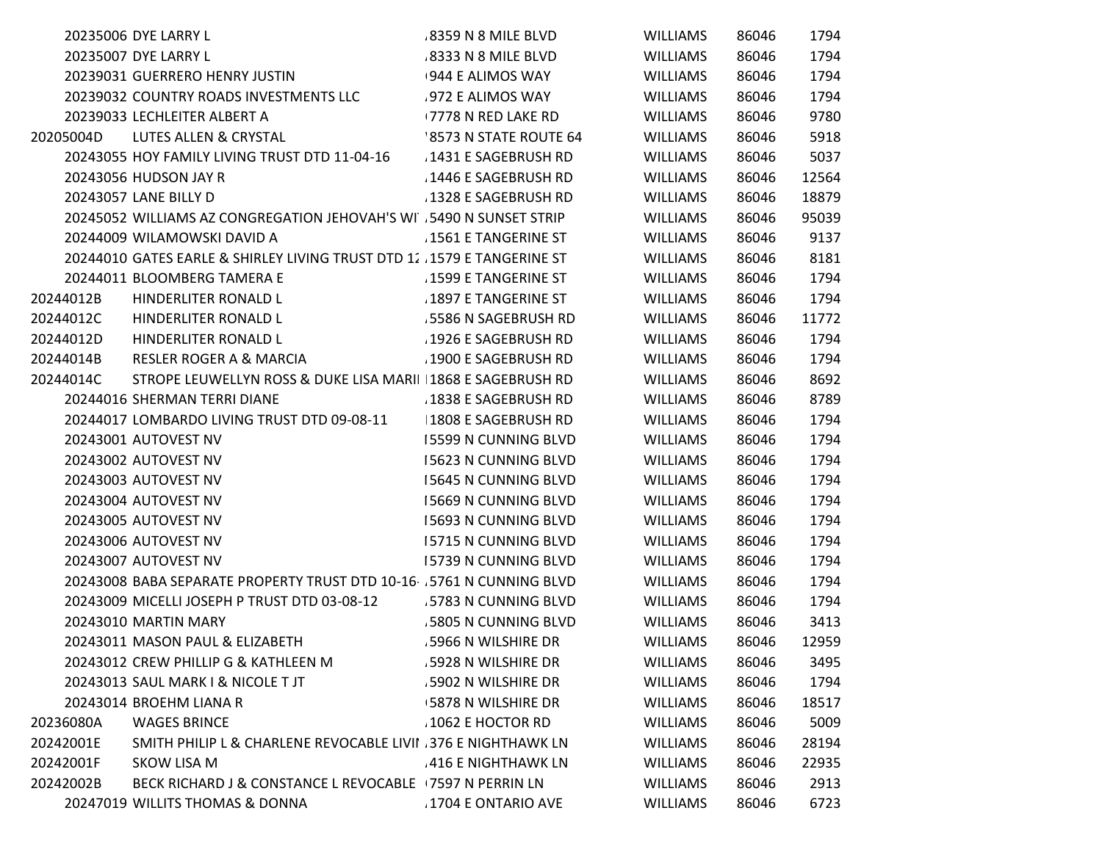|           | 20235006 DYE LARRY L                                                   | 8359 N 8 MILE BLVD          | <b>WILLIAMS</b> | 86046 | 1794  |
|-----------|------------------------------------------------------------------------|-----------------------------|-----------------|-------|-------|
|           | 20235007 DYE LARRY L                                                   | 8333 N 8 MILE BLVD          | <b>WILLIAMS</b> | 86046 | 1794  |
|           | 20239031 GUERRERO HENRY JUSTIN                                         | 944 E ALIMOS WAY            | <b>WILLIAMS</b> | 86046 | 1794  |
|           | 20239032 COUNTRY ROADS INVESTMENTS LLC                                 | 972 E ALIMOS WAY            | <b>WILLIAMS</b> | 86046 | 1794  |
|           | 20239033 LECHLEITER ALBERT A                                           | <b>7778 N RED LAKE RD</b>   | <b>WILLIAMS</b> | 86046 | 9780  |
| 20205004D | LUTES ALLEN & CRYSTAL                                                  | 8573 N STATE ROUTE 64       | <b>WILLIAMS</b> | 86046 | 5918  |
|           | 20243055 HOY FAMILY LIVING TRUST DTD 11-04-16                          | 1431 E SAGEBRUSH RD         | <b>WILLIAMS</b> | 86046 | 5037  |
|           | 20243056 HUDSON JAY R                                                  | 1446 E SAGEBRUSH RD         | <b>WILLIAMS</b> | 86046 | 12564 |
|           | 20243057 LANE BILLY D                                                  | 1328 E SAGEBRUSH RD         | <b>WILLIAMS</b> | 86046 | 18879 |
|           | 20245052 WILLIAMS AZ CONGREGATION JEHOVAH'S WI .5490 N SUNSET STRIP    |                             | <b>WILLIAMS</b> | 86046 | 95039 |
|           | 20244009 WILAMOWSKI DAVID A                                            | .1561 E TANGERINE ST        | <b>WILLIAMS</b> | 86046 | 9137  |
|           | 20244010 GATES EARLE & SHIRLEY LIVING TRUST DTD 12 1579 E TANGERINE ST |                             | <b>WILLIAMS</b> | 86046 | 8181  |
|           | 20244011 BLOOMBERG TAMERA E                                            | .1599 E TANGERINE ST        | <b>WILLIAMS</b> | 86046 | 1794  |
| 20244012B | HINDERLITER RONALD L                                                   | 1897 E TANGERINE ST         | <b>WILLIAMS</b> | 86046 | 1794  |
| 20244012C | HINDERLITER RONALD L                                                   | .5586 N SAGEBRUSH RD        | <b>WILLIAMS</b> | 86046 | 11772 |
| 20244012D | HINDERLITER RONALD L                                                   | .1926 E SAGEBRUSH RD        | <b>WILLIAMS</b> | 86046 | 1794  |
| 20244014B | <b>RESLER ROGER A &amp; MARCIA</b>                                     | .1900 E SAGEBRUSH RD        | <b>WILLIAMS</b> | 86046 | 1794  |
| 20244014C | STROPE LEUWELLYN ROSS & DUKE LISA MARII 1868 E SAGEBRUSH RD            |                             | <b>WILLIAMS</b> | 86046 | 8692  |
|           | 20244016 SHERMAN TERRI DIANE                                           | 1838 E SAGEBRUSH RD         | <b>WILLIAMS</b> | 86046 | 8789  |
|           | 20244017 LOMBARDO LIVING TRUST DTD 09-08-11                            | 1808 E SAGEBRUSH RD         | <b>WILLIAMS</b> | 86046 | 1794  |
|           | 20243001 AUTOVEST NV                                                   | <b>15599 N CUNNING BLVD</b> | <b>WILLIAMS</b> | 86046 | 1794  |
|           | 20243002 AUTOVEST NV                                                   | 15623 N CUNNING BLVD        | <b>WILLIAMS</b> | 86046 | 1794  |
|           | 20243003 AUTOVEST NV                                                   | 15645 N CUNNING BLVD        | <b>WILLIAMS</b> | 86046 | 1794  |
|           | 20243004 AUTOVEST NV                                                   | 15669 N CUNNING BLVD        | <b>WILLIAMS</b> | 86046 | 1794  |
|           | 20243005 AUTOVEST NV                                                   | 15693 N CUNNING BLVD        | <b>WILLIAMS</b> | 86046 | 1794  |
|           | 20243006 AUTOVEST NV                                                   | <b>15715 N CUNNING BLVD</b> | <b>WILLIAMS</b> | 86046 | 1794  |
|           | 20243007 AUTOVEST NV                                                   | 15739 N CUNNING BLVD        | <b>WILLIAMS</b> | 86046 | 1794  |
|           | 20243008 BABA SEPARATE PROPERTY TRUST DTD 10-16 5761 N CUNNING BLVD    |                             | <b>WILLIAMS</b> | 86046 | 1794  |
|           | 20243009 MICELLI JOSEPH P TRUST DTD 03-08-12                           | 5783 N CUNNING BLVD         | <b>WILLIAMS</b> | 86046 | 1794  |
|           | 20243010 MARTIN MARY                                                   | 5805 N CUNNING BLVD         | <b>WILLIAMS</b> | 86046 | 3413  |
|           | 20243011 MASON PAUL & ELIZABETH                                        | 5966 N WILSHIRE DR          | <b>WILLIAMS</b> | 86046 | 12959 |
|           | 20243012 CREW PHILLIP G & KATHLEEN M                                   | .5928 N WILSHIRE DR         | <b>WILLIAMS</b> | 86046 | 3495  |
|           | 20243013 SAUL MARK I & NICOLE T JT                                     | .5902 N WILSHIRE DR         | <b>WILLIAMS</b> | 86046 | 1794  |
|           | 20243014 BROEHM LIANA R                                                | <b>5878 N WILSHIRE DR</b>   | WILLIAMS        | 86046 | 18517 |
| 20236080A | <b>WAGES BRINCE</b>                                                    | 1062 E HOCTOR RD            | <b>WILLIAMS</b> | 86046 | 5009  |
| 20242001E | SMITH PHILIP L & CHARLENE REVOCABLE LIVII .376 E NIGHTHAWK LN          |                             | <b>WILLIAMS</b> | 86046 | 28194 |
| 20242001F | SKOW LISA M                                                            | 416 E NIGHTHAWK LN          | <b>WILLIAMS</b> | 86046 | 22935 |
| 20242002B | BECK RICHARD J & CONSTANCE L REVOCABLE 17597 N PERRIN LN               |                             | <b>WILLIAMS</b> | 86046 | 2913  |
|           | 20247019 WILLITS THOMAS & DONNA                                        | 1704 E ONTARIO AVE          | <b>WILLIAMS</b> | 86046 | 6723  |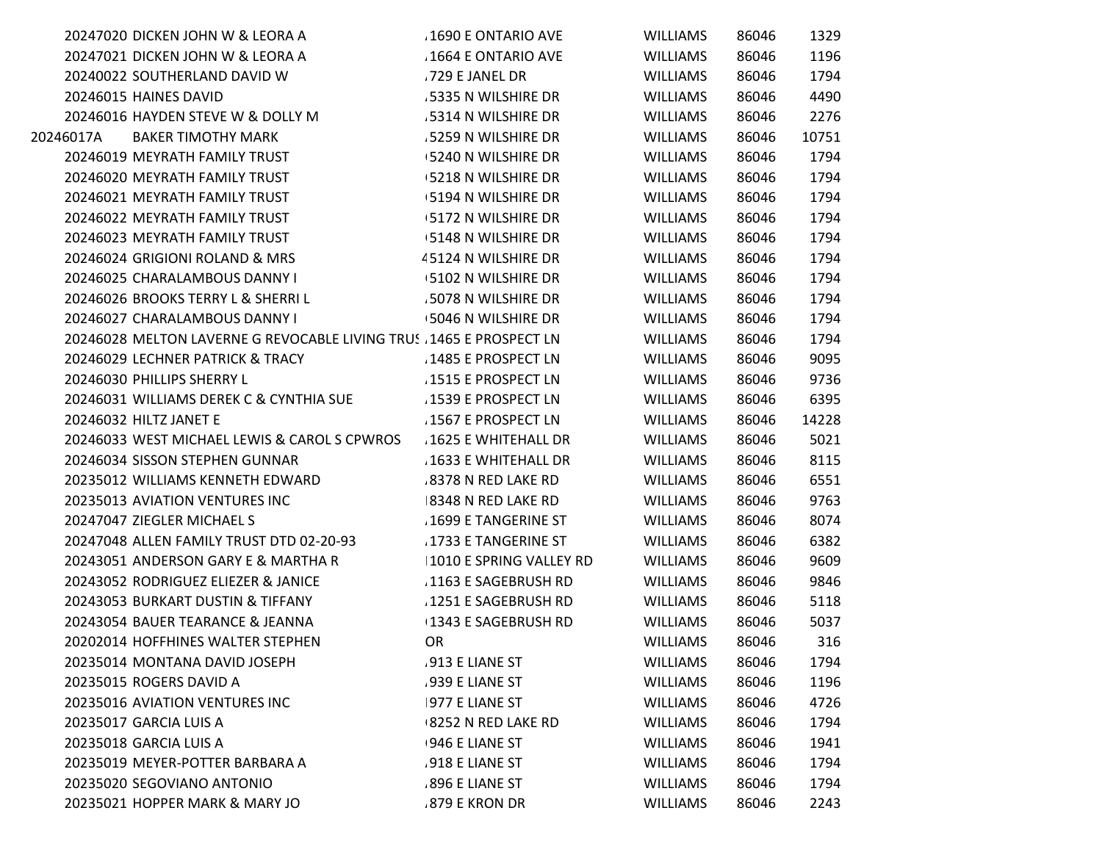|           | 20247020 DICKEN JOHN W & LEORA A                                   | 1690 E ONTARIO AVE        | <b>WILLIAMS</b> | 86046 | 1329  |
|-----------|--------------------------------------------------------------------|---------------------------|-----------------|-------|-------|
|           | 20247021 DICKEN JOHN W & LEORA A                                   | 1664 E ONTARIO AVE        | <b>WILLIAMS</b> | 86046 | 1196  |
|           | 20240022 SOUTHERLAND DAVID W                                       | .729 E JANEL DR           | <b>WILLIAMS</b> | 86046 | 1794  |
|           | 20246015 HAINES DAVID                                              | .5335 N WILSHIRE DR       | <b>WILLIAMS</b> | 86046 | 4490  |
|           | 20246016 HAYDEN STEVE W & DOLLY M                                  | 5314 N WILSHIRE DR        | <b>WILLIAMS</b> | 86046 | 2276  |
| 20246017A | <b>BAKER TIMOTHY MARK</b>                                          | .5259 N WILSHIRE DR       | <b>WILLIAMS</b> | 86046 | 10751 |
|           | 20246019 MEYRATH FAMILY TRUST                                      | <b>5240 N WILSHIRE DR</b> | <b>WILLIAMS</b> | 86046 | 1794  |
|           | 20246020 MEYRATH FAMILY TRUST                                      | <b>5218 N WILSHIRE DR</b> | <b>WILLIAMS</b> | 86046 | 1794  |
|           | 20246021 MEYRATH FAMILY TRUST                                      | <b>5194 N WILSHIRE DR</b> | <b>WILLIAMS</b> | 86046 | 1794  |
|           | 20246022 MEYRATH FAMILY TRUST                                      | <b>5172 N WILSHIRE DR</b> | <b>WILLIAMS</b> | 86046 | 1794  |
|           | 20246023 MEYRATH FAMILY TRUST                                      | 5148 N WILSHIRE DR        | <b>WILLIAMS</b> | 86046 | 1794  |
|           | 20246024 GRIGIONI ROLAND & MRS                                     | 45124 N WILSHIRE DR       | <b>WILLIAMS</b> | 86046 | 1794  |
|           | 20246025 CHARALAMBOUS DANNY I                                      | 5102 N WILSHIRE DR        | <b>WILLIAMS</b> | 86046 | 1794  |
|           | 20246026 BROOKS TERRY L & SHERRI L                                 | .5078 N WILSHIRE DR       | <b>WILLIAMS</b> | 86046 | 1794  |
|           | 20246027 CHARALAMBOUS DANNY I                                      | +5046 N WILSHIRE DR       | <b>WILLIAMS</b> | 86046 | 1794  |
|           | 20246028 MELTON LAVERNE G REVOCABLE LIVING TRUS 1465 E PROSPECT LN |                           | WILLIAMS        | 86046 | 1794  |
|           | 20246029 LECHNER PATRICK & TRACY                                   | 1485 E PROSPECT LN        | <b>WILLIAMS</b> | 86046 | 9095  |
|           | 20246030 PHILLIPS SHERRY L                                         | 1515 E PROSPECT LN        | <b>WILLIAMS</b> | 86046 | 9736  |
|           | 20246031 WILLIAMS DEREK C & CYNTHIA SUE                            | 1539 E PROSPECT LN        | <b>WILLIAMS</b> | 86046 | 6395  |
|           | 20246032 HILTZ JANET E                                             | 1567 E PROSPECT LN        | <b>WILLIAMS</b> | 86046 | 14228 |
|           | 20246033 WEST MICHAEL LEWIS & CAROL S CPWROS                       | 1625 E WHITEHALL DR       | <b>WILLIAMS</b> | 86046 | 5021  |
|           | 20246034 SISSON STEPHEN GUNNAR                                     | .1633 E WHITEHALL DR      | <b>WILLIAMS</b> | 86046 | 8115  |
|           | 20235012 WILLIAMS KENNETH EDWARD                                   | .8378 N RED LAKE RD       | <b>WILLIAMS</b> | 86046 | 6551  |
|           | 20235013 AVIATION VENTURES INC                                     | 8348 N RED LAKE RD        | <b>WILLIAMS</b> | 86046 | 9763  |
|           | 20247047 ZIEGLER MICHAEL S                                         | 1699 E TANGERINE ST       | <b>WILLIAMS</b> | 86046 | 8074  |
|           | 20247048 ALLEN FAMILY TRUST DTD 02-20-93                           | .1733 E TANGERINE ST      | <b>WILLIAMS</b> | 86046 | 6382  |
|           | 20243051 ANDERSON GARY E & MARTHA R                                | 1010 E SPRING VALLEY RD   | <b>WILLIAMS</b> | 86046 | 9609  |
|           | 20243052 RODRIGUEZ ELIEZER & JANICE                                | 1163 E SAGEBRUSH RD       | <b>WILLIAMS</b> | 86046 | 9846  |
|           | 20243053 BURKART DUSTIN & TIFFANY                                  | .1251 E SAGEBRUSH RD      | <b>WILLIAMS</b> | 86046 | 5118  |
|           | 20243054 BAUER TEARANCE & JEANNA                                   | 1343 E SAGEBRUSH RD       | <b>WILLIAMS</b> | 86046 | 5037  |
|           | 20202014 HOFFHINES WALTER STEPHEN                                  | <b>OR</b>                 | <b>WILLIAMS</b> | 86046 | 316   |
|           | 20235014 MONTANA DAVID JOSEPH                                      | 913 E LIANE ST            | <b>WILLIAMS</b> | 86046 | 1794  |
|           | 20235015 ROGERS DAVID A                                            | .939 E LIANE ST           | <b>WILLIAMS</b> | 86046 | 1196  |
|           | 20235016 AVIATION VENTURES INC                                     | 977 E LIANE ST            | WILLIAMS        | 86046 | 4726  |
|           | 20235017 GARCIA LUIS A                                             | <b>8252 N RED LAKE RD</b> | <b>WILLIAMS</b> | 86046 | 1794  |
|           | 20235018 GARCIA LUIS A                                             | 946 E LIANE ST            | <b>WILLIAMS</b> | 86046 | 1941  |
|           | 20235019 MEYER-POTTER BARBARA A                                    | .918 E LIANE ST           | WILLIAMS        | 86046 | 1794  |
|           | 20235020 SEGOVIANO ANTONIO                                         | 896 E LIANE ST            | <b>WILLIAMS</b> | 86046 | 1794  |
|           | 20235021 HOPPER MARK & MARY JO                                     | .879 E KRON DR            | <b>WILLIAMS</b> | 86046 | 2243  |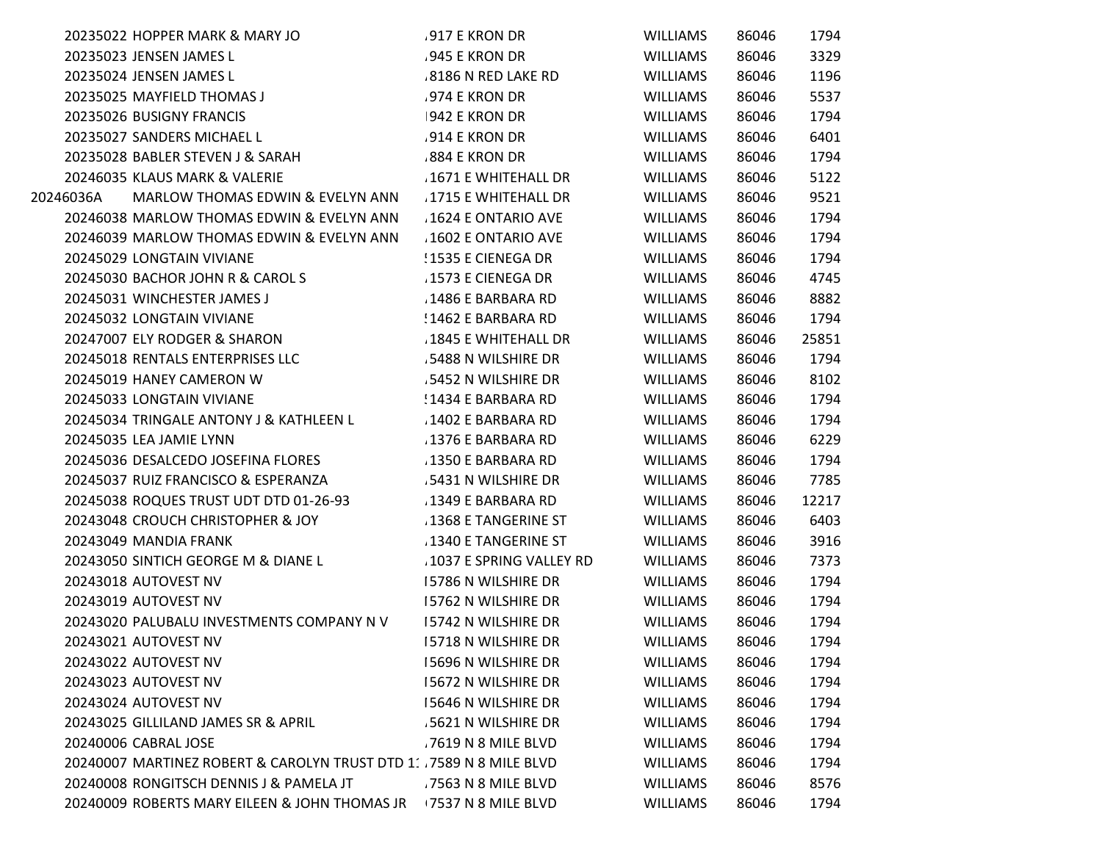|           | 20235022 HOPPER MARK & MARY JO                                     | .917 E KRON DR           | <b>WILLIAMS</b> | 86046 | 1794  |
|-----------|--------------------------------------------------------------------|--------------------------|-----------------|-------|-------|
|           | 20235023 JENSEN JAMES L                                            | .945 E KRON DR           | <b>WILLIAMS</b> | 86046 | 3329  |
|           | 20235024 JENSEN JAMES L                                            | .8186 N RED LAKE RD      | <b>WILLIAMS</b> | 86046 | 1196  |
|           | 20235025 MAYFIELD THOMAS J                                         | .974 E KRON DR           | <b>WILLIAMS</b> | 86046 | 5537  |
|           | 20235026 BUSIGNY FRANCIS                                           | 942 E KRON DR            | <b>WILLIAMS</b> | 86046 | 1794  |
|           | 20235027 SANDERS MICHAEL L                                         | .914 E KRON DR           | <b>WILLIAMS</b> | 86046 | 6401  |
|           | 20235028 BABLER STEVEN J & SARAH                                   | .884 E KRON DR           | <b>WILLIAMS</b> | 86046 | 1794  |
|           | 20246035 KLAUS MARK & VALERIE                                      | 1671 E WHITEHALL DR      | <b>WILLIAMS</b> | 86046 | 5122  |
| 20246036A | MARLOW THOMAS EDWIN & EVELYN ANN                                   | 1715 E WHITEHALL DR      | <b>WILLIAMS</b> | 86046 | 9521  |
|           | 20246038 MARLOW THOMAS EDWIN & EVELYN ANN                          | 1624 E ONTARIO AVE       | <b>WILLIAMS</b> | 86046 | 1794  |
|           | 20246039 MARLOW THOMAS EDWIN & EVELYN ANN                          | 1602 E ONTARIO AVE       | <b>WILLIAMS</b> | 86046 | 1794  |
|           | 20245029 LONGTAIN VIVIANE                                          | ! 1535 E CIENEGA DR      | <b>WILLIAMS</b> | 86046 | 1794  |
|           | 20245030 BACHOR JOHN R & CAROL S                                   | 1573 E CIENEGA DR        | <b>WILLIAMS</b> | 86046 | 4745  |
|           | 20245031 WINCHESTER JAMES J                                        | .1486 E BARBARA RD       | <b>WILLIAMS</b> | 86046 | 8882  |
|           | 20245032 LONGTAIN VIVIANE                                          | !1462 E BARBARA RD       | <b>WILLIAMS</b> | 86046 | 1794  |
|           | 20247007 ELY RODGER & SHARON                                       | .1845 E WHITEHALL DR     | <b>WILLIAMS</b> | 86046 | 25851 |
|           | 20245018 RENTALS ENTERPRISES LLC                                   | 5488 N WILSHIRE DR       | <b>WILLIAMS</b> | 86046 | 1794  |
|           | 20245019 HANEY CAMERON W                                           | 5452 N WILSHIRE DR       | <b>WILLIAMS</b> | 86046 | 8102  |
|           | 20245033 LONGTAIN VIVIANE                                          | !1434 E BARBARA RD       | <b>WILLIAMS</b> | 86046 | 1794  |
|           | 20245034 TRINGALE ANTONY J & KATHLEEN L                            | .1402 E BARBARA RD       | <b>WILLIAMS</b> | 86046 | 1794  |
|           | 20245035 LEA JAMIE LYNN                                            | .1376 E BARBARA RD       | <b>WILLIAMS</b> | 86046 | 6229  |
|           | 20245036 DESALCEDO JOSEFINA FLORES                                 | .1350 E BARBARA RD       | <b>WILLIAMS</b> | 86046 | 1794  |
|           | 20245037 RUIZ FRANCISCO & ESPERANZA                                | 5431 N WILSHIRE DR       | <b>WILLIAMS</b> | 86046 | 7785  |
|           | 20245038 ROQUES TRUST UDT DTD 01-26-93                             | .1349 E BARBARA RD       | <b>WILLIAMS</b> | 86046 | 12217 |
|           | 20243048 CROUCH CHRISTOPHER & JOY                                  | 1368 E TANGERINE ST      | <b>WILLIAMS</b> | 86046 | 6403  |
|           | 20243049 MANDIA FRANK                                              | 1340 E TANGERINE ST      | <b>WILLIAMS</b> | 86046 | 3916  |
|           | 20243050 SINTICH GEORGE M & DIANE L                                | .1037 E SPRING VALLEY RD | <b>WILLIAMS</b> | 86046 | 7373  |
|           | 20243018 AUTOVEST NV                                               | 15786 N WILSHIRE DR      | <b>WILLIAMS</b> | 86046 | 1794  |
|           | 20243019 AUTOVEST NV                                               | 15762 N WILSHIRE DR      | <b>WILLIAMS</b> | 86046 | 1794  |
|           | 20243020 PALUBALU INVESTMENTS COMPANY N V                          | 15742 N WILSHIRE DR      | <b>WILLIAMS</b> | 86046 | 1794  |
|           | 20243021 AUTOVEST NV                                               | 15718 N WILSHIRE DR      | <b>WILLIAMS</b> | 86046 | 1794  |
|           | 20243022 AUTOVEST NV                                               | 15696 N WILSHIRE DR      | <b>WILLIAMS</b> | 86046 | 1794  |
|           | 20243023 AUTOVEST NV                                               | 15672 N WILSHIRE DR      | <b>WILLIAMS</b> | 86046 | 1794  |
|           | 20243024 AUTOVEST NV                                               | 15646 N WILSHIRE DR      | <b>WILLIAMS</b> | 86046 | 1794  |
|           | 20243025 GILLILAND JAMES SR & APRIL                                | .5621 N WILSHIRE DR      | <b>WILLIAMS</b> | 86046 | 1794  |
|           | 20240006 CABRAL JOSE                                               | .7619 N 8 MILE BLVD      | <b>WILLIAMS</b> | 86046 | 1794  |
|           | 20240007 MARTINEZ ROBERT & CAROLYN TRUST DTD 1: 7589 N 8 MILE BLVD |                          | <b>WILLIAMS</b> | 86046 | 1794  |
|           | 20240008 RONGITSCH DENNIS J & PAMELA JT                            | .7563 N 8 MILE BLVD      | <b>WILLIAMS</b> | 86046 | 8576  |
|           | 20240009 ROBERTS MARY EILEEN & JOHN THOMAS JR                      | 17537 N 8 MILE BLVD      | <b>WILLIAMS</b> | 86046 | 1794  |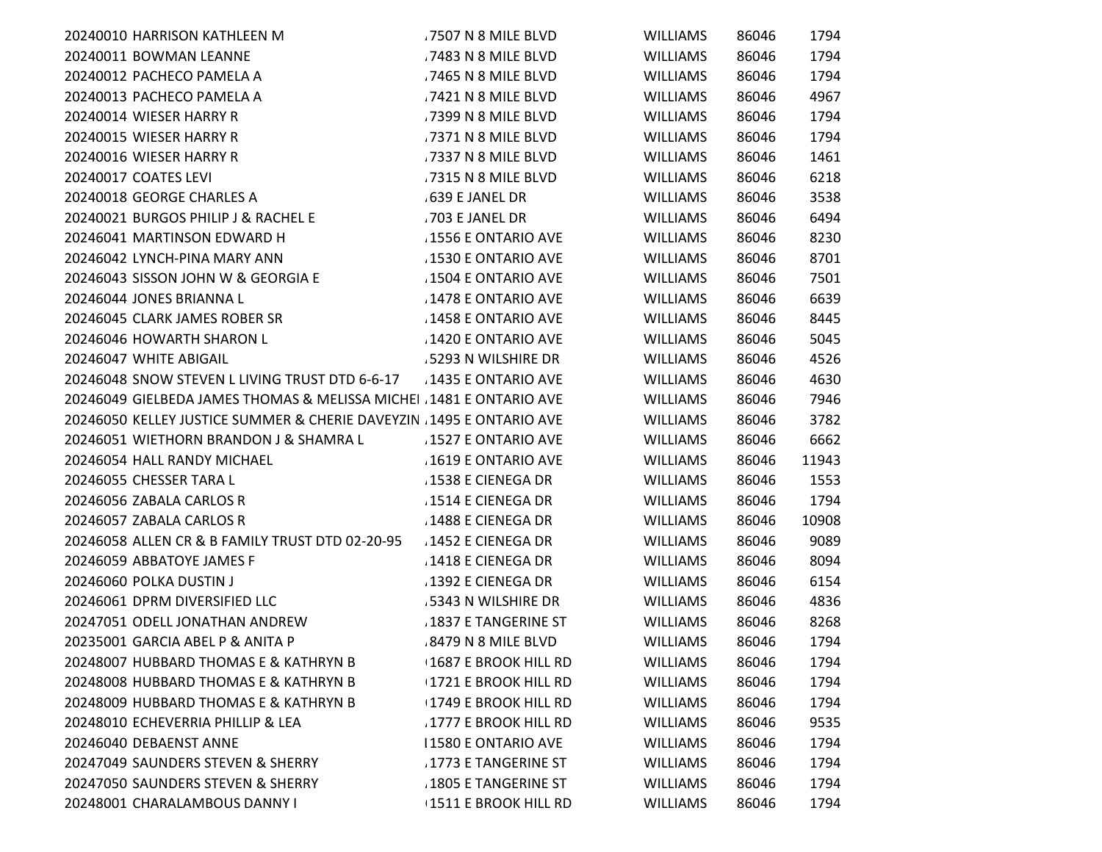| 20240010 HARRISON KATHLEEN M                                          | .7507 N 8 MILE BLVD         | <b>WILLIAMS</b> | 86046 | 1794  |
|-----------------------------------------------------------------------|-----------------------------|-----------------|-------|-------|
| 20240011 BOWMAN LEANNE                                                | .7483 N 8 MILE BLVD         | <b>WILLIAMS</b> | 86046 | 1794  |
| 20240012 PACHECO PAMELA A                                             | .7465 N 8 MILE BLVD         | <b>WILLIAMS</b> | 86046 | 1794  |
| 20240013 PACHECO PAMELA A                                             | .7421 N 8 MILE BLVD         | <b>WILLIAMS</b> | 86046 | 4967  |
| 20240014 WIESER HARRY R                                               | .7399 N 8 MILE BLVD         | WILLIAMS        | 86046 | 1794  |
| 20240015 WIESER HARRY R                                               | .7371 N 8 MILE BLVD         | <b>WILLIAMS</b> | 86046 | 1794  |
| 20240016 WIESER HARRY R                                               | .7337 N 8 MILE BLVD         | <b>WILLIAMS</b> | 86046 | 1461  |
| 20240017 COATES LEVI                                                  | .7315 N 8 MILE BLVD         | <b>WILLIAMS</b> | 86046 | 6218  |
| 20240018 GEORGE CHARLES A                                             | .639 E JANEL DR             | <b>WILLIAMS</b> | 86046 | 3538  |
| 20240021 BURGOS PHILIP J & RACHEL E                                   | .703 E JANEL DR             | <b>WILLIAMS</b> | 86046 | 6494  |
| 20246041 MARTINSON EDWARD H                                           | .1556 E ONTARIO AVE         | <b>WILLIAMS</b> | 86046 | 8230  |
| 20246042 LYNCH-PINA MARY ANN                                          | 1530 E ONTARIO AVE          | WILLIAMS        | 86046 | 8701  |
| 20246043 SISSON JOHN W & GEORGIA E                                    | .1504 E ONTARIO AVE         | <b>WILLIAMS</b> | 86046 | 7501  |
| 20246044 JONES BRIANNA L                                              | 1478 E ONTARIO AVE          | <b>WILLIAMS</b> | 86046 | 6639  |
| 20246045 CLARK JAMES ROBER SR                                         | .1458 E ONTARIO AVE         | WILLIAMS        | 86046 | 8445  |
| 20246046 HOWARTH SHARON L                                             | 1420 E ONTARIO AVE          | <b>WILLIAMS</b> | 86046 | 5045  |
| 20246047 WHITE ABIGAIL                                                | .5293 N WILSHIRE DR         | <b>WILLIAMS</b> | 86046 | 4526  |
| 20246048 SNOW STEVEN L LIVING TRUST DTD 6-6-17                        | .1435 E ONTARIO AVE         | <b>WILLIAMS</b> | 86046 | 4630  |
| 20246049 GIELBEDA JAMES THOMAS & MELISSA MICHEL 1481 E ONTARIO AVE    |                             | <b>WILLIAMS</b> | 86046 | 7946  |
| 20246050 KELLEY JUSTICE SUMMER & CHERIE DAVEYZIN . 1495 E ONTARIO AVE |                             | <b>WILLIAMS</b> | 86046 | 3782  |
| 20246051 WIETHORN BRANDON J & SHAMRA L                                | .1527 E ONTARIO AVE         | <b>WILLIAMS</b> | 86046 | 6662  |
| 20246054 HALL RANDY MICHAEL                                           | 1619 E ONTARIO AVE          | <b>WILLIAMS</b> | 86046 | 11943 |
| 20246055 CHESSER TARA L                                               | .1538 E CIENEGA DR          | WILLIAMS        | 86046 | 1553  |
| 20246056 ZABALA CARLOS R                                              | .1514 E CIENEGA DR          | WILLIAMS        | 86046 | 1794  |
| 20246057 ZABALA CARLOS R                                              | 1488 E CIENEGA DR           | <b>WILLIAMS</b> | 86046 | 10908 |
| 20246058 ALLEN CR & B FAMILY TRUST DTD 02-20-95                       | .1452 E CIENEGA DR          | WILLIAMS        | 86046 | 9089  |
| 20246059 ABBATOYE JAMES F                                             | 1418 E CIENEGA DR           | <b>WILLIAMS</b> | 86046 | 8094  |
| 20246060 POLKA DUSTIN J                                               | 1392 E CIENEGA DR           | <b>WILLIAMS</b> | 86046 | 6154  |
| 20246061 DPRM DIVERSIFIED LLC                                         | .5343 N WILSHIRE DR         | <b>WILLIAMS</b> | 86046 | 4836  |
| 20247051 ODELL JONATHAN ANDREW                                        | .1837 E TANGERINE ST        | WILLIAMS        | 86046 | 8268  |
| 20235001 GARCIA ABEL P & ANITA P                                      | .8479 N 8 MILE BLVD         | <b>WILLIAMS</b> | 86046 | 1794  |
| 20248007 HUBBARD THOMAS E & KATHRYN B                                 | 1687 E BROOK HILL RD        | <b>WILLIAMS</b> | 86046 | 1794  |
| 20248008 HUBBARD THOMAS E & KATHRYN B                                 | <b>1721 E BROOK HILL RD</b> | <b>WILLIAMS</b> | 86046 | 1794  |
| 20248009 HUBBARD THOMAS E & KATHRYN B                                 | 1749 E BROOK HILL RD        | <b>WILLIAMS</b> | 86046 | 1794  |
| 20248010 ECHEVERRIA PHILLIP & LEA                                     | 1777 E BROOK HILL RD        | <b>WILLIAMS</b> | 86046 | 9535  |
| 20246040 DEBAENST ANNE                                                | <b>11580 E ONTARIO AVE</b>  | <b>WILLIAMS</b> | 86046 | 1794  |
| 20247049 SAUNDERS STEVEN & SHERRY                                     | .1773 E TANGERINE ST        | <b>WILLIAMS</b> | 86046 | 1794  |
| 20247050 SAUNDERS STEVEN & SHERRY                                     | .1805 E TANGERINE ST        | <b>WILLIAMS</b> | 86046 | 1794  |
| 20248001 CHARALAMBOUS DANNY I                                         | 1511 E BROOK HILL RD        | <b>WILLIAMS</b> | 86046 | 1794  |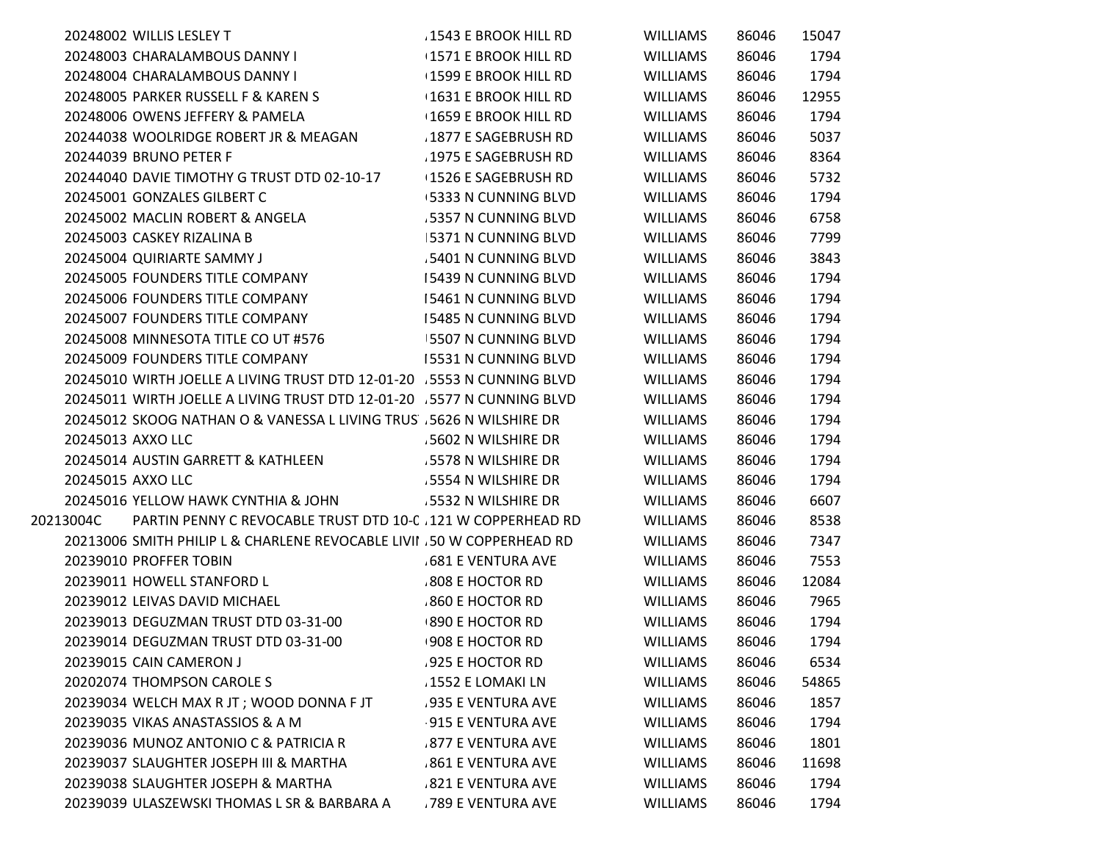|                   | 20248002 WILLIS LESLEY T                                               | .1543 E BROOK HILL RD       | <b>WILLIAMS</b> | 86046 | 15047 |
|-------------------|------------------------------------------------------------------------|-----------------------------|-----------------|-------|-------|
|                   | 20248003 CHARALAMBOUS DANNY I                                          | <b>1571 E BROOK HILL RD</b> | <b>WILLIAMS</b> | 86046 | 1794  |
|                   | 20248004 CHARALAMBOUS DANNY I                                          | <b>1599 E BROOK HILL RD</b> | <b>WILLIAMS</b> | 86046 | 1794  |
|                   | 20248005 PARKER RUSSELL F & KAREN S                                    | <b>1631 E BROOK HILL RD</b> | <b>WILLIAMS</b> | 86046 | 12955 |
|                   | 20248006 OWENS JEFFERY & PAMELA                                        | <b>1659 E BROOK HILL RD</b> | <b>WILLIAMS</b> | 86046 | 1794  |
|                   | 20244038 WOOLRIDGE ROBERT JR & MEAGAN                                  | 1877 E SAGEBRUSH RD         | <b>WILLIAMS</b> | 86046 | 5037  |
|                   | 20244039 BRUNO PETER F                                                 | 1975 E SAGEBRUSH RD         | <b>WILLIAMS</b> | 86046 | 8364  |
|                   | 20244040 DAVIE TIMOTHY G TRUST DTD 02-10-17                            | 1526 E SAGEBRUSH RD         | <b>WILLIAMS</b> | 86046 | 5732  |
|                   | 20245001 GONZALES GILBERT C                                            | 5333 N CUNNING BLVD         | <b>WILLIAMS</b> | 86046 | 1794  |
|                   | 20245002 MACLIN ROBERT & ANGELA                                        | 5357 N CUNNING BLVD         | <b>WILLIAMS</b> | 86046 | 6758  |
|                   | 20245003 CASKEY RIZALINA B                                             | 5371 N CUNNING BLVD         | <b>WILLIAMS</b> | 86046 | 7799  |
|                   | 20245004 QUIRIARTE SAMMY J                                             | .5401 N CUNNING BLVD        | <b>WILLIAMS</b> | 86046 | 3843  |
|                   | 20245005 FOUNDERS TITLE COMPANY                                        | 15439 N CUNNING BLVD        | <b>WILLIAMS</b> | 86046 | 1794  |
|                   | 20245006 FOUNDERS TITLE COMPANY                                        | 15461 N CUNNING BLVD        | <b>WILLIAMS</b> | 86046 | 1794  |
|                   | 20245007 FOUNDERS TITLE COMPANY                                        | <b>15485 N CUNNING BLVD</b> | <b>WILLIAMS</b> | 86046 | 1794  |
|                   | 20245008 MINNESOTA TITLE CO UT #576                                    | <b>5507 N CUNNING BLVD</b>  | <b>WILLIAMS</b> | 86046 | 1794  |
|                   | 20245009 FOUNDERS TITLE COMPANY                                        | <b>15531 N CUNNING BLVD</b> | <b>WILLIAMS</b> | 86046 | 1794  |
|                   | 20245010 WIRTH JOELLE A LIVING TRUST DTD 12-01-20 5553 N CUNNING BLVD  |                             | <b>WILLIAMS</b> | 86046 | 1794  |
|                   | 20245011 WIRTH JOELLE A LIVING TRUST DTD 12-01-20 .5577 N CUNNING BLVD |                             | <b>WILLIAMS</b> | 86046 | 1794  |
|                   | 20245012 SKOOG NATHAN O & VANESSA L LIVING TRUS 5626 N WILSHIRE DR     |                             | <b>WILLIAMS</b> | 86046 | 1794  |
| 20245013 AXXO LLC |                                                                        | 5602 N WILSHIRE DR          | <b>WILLIAMS</b> | 86046 | 1794  |
|                   | 20245014 AUSTIN GARRETT & KATHLEEN                                     | .5578 N WILSHIRE DR         | <b>WILLIAMS</b> | 86046 | 1794  |
| 20245015 AXXO LLC |                                                                        | .5554 N WILSHIRE DR         | <b>WILLIAMS</b> | 86046 | 1794  |
|                   | 20245016 YELLOW HAWK CYNTHIA & JOHN                                    | .5532 N WILSHIRE DR         | <b>WILLIAMS</b> | 86046 | 6607  |
| 20213004C         | PARTIN PENNY C REVOCABLE TRUST DTD 10-C 121 W COPPERHEAD RD            |                             | <b>WILLIAMS</b> | 86046 | 8538  |
|                   | 20213006 SMITH PHILIP L & CHARLENE REVOCABLE LIVII .50 W COPPERHEAD RD |                             | <b>WILLIAMS</b> | 86046 | 7347  |
|                   | 20239010 PROFFER TOBIN                                                 | <b>681 E VENTURA AVE</b>    | <b>WILLIAMS</b> | 86046 | 7553  |
|                   | 20239011 HOWELL STANFORD L                                             | 808 E HOCTOR RD             | <b>WILLIAMS</b> | 86046 | 12084 |
|                   | 20239012 LEIVAS DAVID MICHAEL                                          | .860 E HOCTOR RD            | <b>WILLIAMS</b> | 86046 | 7965  |
|                   | 20239013 DEGUZMAN TRUST DTD 03-31-00                                   | 890 E HOCTOR RD             | <b>WILLIAMS</b> | 86046 | 1794  |
|                   | 20239014 DEGUZMAN TRUST DTD 03-31-00                                   | 908 E HOCTOR RD             | <b>WILLIAMS</b> | 86046 | 1794  |
|                   | 20239015 CAIN CAMERON J                                                | .925 E HOCTOR RD            | <b>WILLIAMS</b> | 86046 | 6534  |
|                   | 20202074 THOMPSON CAROLE S                                             | .1552 E LOMAKI LN           | <b>WILLIAMS</b> | 86046 | 54865 |
|                   | 20239034 WELCH MAX R JT ; WOOD DONNA F JT                              | .935 E VENTURA AVE          | <b>WILLIAMS</b> | 86046 | 1857  |
|                   | 20239035 VIKAS ANASTASSIOS & A M                                       | 915 E VENTURA AVE           | <b>WILLIAMS</b> | 86046 | 1794  |
|                   | 20239036 MUNOZ ANTONIO C & PATRICIA R                                  | <b>877 E VENTURA AVE</b>    | <b>WILLIAMS</b> | 86046 | 1801  |
|                   | 20239037 SLAUGHTER JOSEPH III & MARTHA                                 | 861 E VENTURA AVE           | WILLIAMS        | 86046 | 11698 |
|                   | 20239038 SLAUGHTER JOSEPH & MARTHA                                     | 821 E VENTURA AVE           | WILLIAMS        | 86046 | 1794  |
|                   | 20239039 ULASZEWSKI THOMAS L SR & BARBARA A                            | .789 E VENTURA AVE          | <b>WILLIAMS</b> | 86046 | 1794  |
|                   |                                                                        |                             |                 |       |       |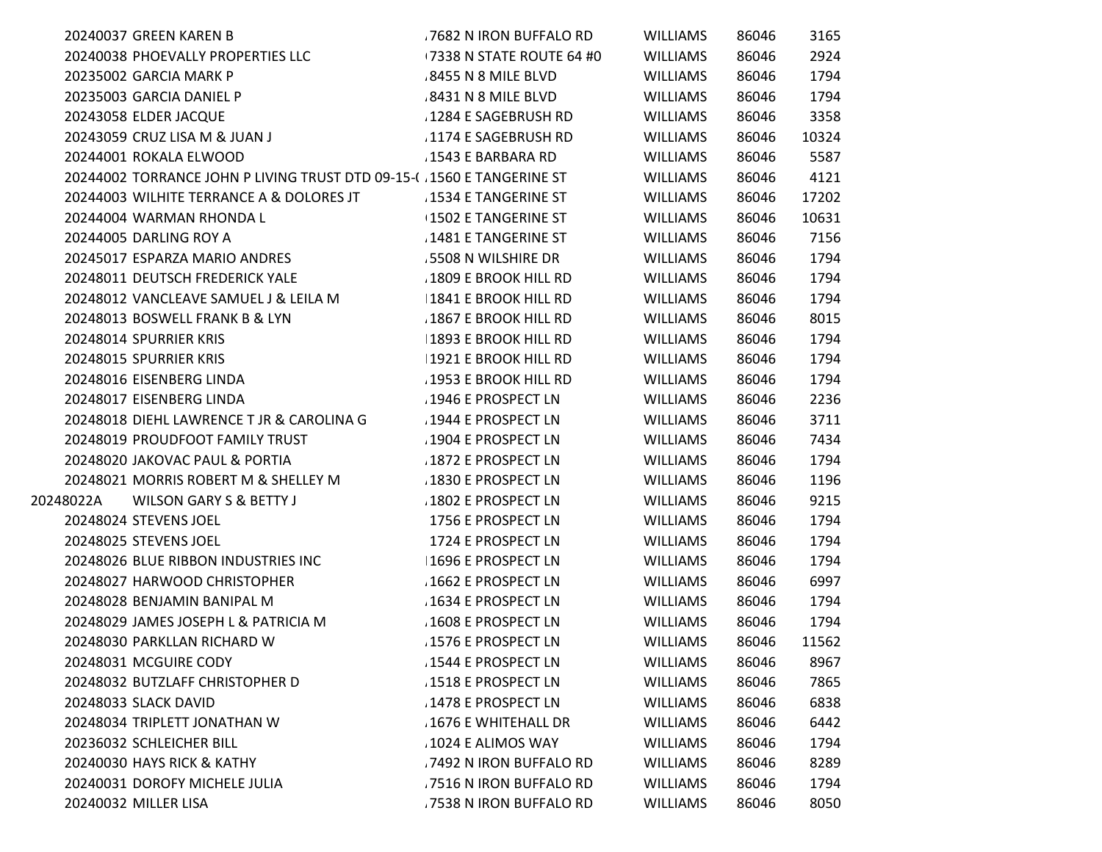|           | 20240037 GREEN KAREN B                                                  | .7682 N IRON BUFFALO RD    | <b>WILLIAMS</b> | 86046 | 3165  |
|-----------|-------------------------------------------------------------------------|----------------------------|-----------------|-------|-------|
|           | 20240038 PHOEVALLY PROPERTIES LLC                                       | 17338 N STATE ROUTE 64 #0  | <b>WILLIAMS</b> | 86046 | 2924  |
|           | 20235002 GARCIA MARK P                                                  | .8455 N 8 MILE BLVD        | <b>WILLIAMS</b> | 86046 | 1794  |
|           | 20235003 GARCIA DANIEL P                                                | .8431 N 8 MILE BLVD        | <b>WILLIAMS</b> | 86046 | 1794  |
|           | 20243058 ELDER JACQUE                                                   | .1284 E SAGEBRUSH RD       | <b>WILLIAMS</b> | 86046 | 3358  |
|           | 20243059 CRUZ LISA M & JUAN J                                           | .1174 E SAGEBRUSH RD       | <b>WILLIAMS</b> | 86046 | 10324 |
|           | 20244001 ROKALA ELWOOD                                                  | .1543 E BARBARA RD         | <b>WILLIAMS</b> | 86046 | 5587  |
|           | 20244002 TORRANCE JOHN P LIVING TRUST DTD 09-15-( . 1560 E TANGERINE ST |                            | <b>WILLIAMS</b> | 86046 | 4121  |
|           | 20244003 WILHITE TERRANCE A & DOLORES JT                                | 1534 E TANGERINE ST        | <b>WILLIAMS</b> | 86046 | 17202 |
|           | 20244004 WARMAN RHONDA L                                                | <b>1502 E TANGERINE ST</b> | <b>WILLIAMS</b> | 86046 | 10631 |
|           | 20244005 DARLING ROY A                                                  | 1481 E TANGERINE ST        | <b>WILLIAMS</b> | 86046 | 7156  |
|           | 20245017 ESPARZA MARIO ANDRES                                           | 5508 N WILSHIRE DR         | <b>WILLIAMS</b> | 86046 | 1794  |
|           | 20248011 DEUTSCH FREDERICK YALE                                         | .1809 E BROOK HILL RD      | <b>WILLIAMS</b> | 86046 | 1794  |
|           | 20248012 VANCLEAVE SAMUEL J & LEILA M                                   | 1841 E BROOK HILL RD       | <b>WILLIAMS</b> | 86046 | 1794  |
|           | 20248013 BOSWELL FRANK B & LYN                                          | .1867 E BROOK HILL RD      | <b>WILLIAMS</b> | 86046 | 8015  |
|           | 20248014 SPURRIER KRIS                                                  | 1893 E BROOK HILL RD       | <b>WILLIAMS</b> | 86046 | 1794  |
|           | 20248015 SPURRIER KRIS                                                  | 1921 E BROOK HILL RD       | <b>WILLIAMS</b> | 86046 | 1794  |
|           | 20248016 EISENBERG LINDA                                                | .1953 E BROOK HILL RD      | <b>WILLIAMS</b> | 86046 | 1794  |
|           | 20248017 EISENBERG LINDA                                                | 1946 E PROSPECT LN         | <b>WILLIAMS</b> | 86046 | 2236  |
|           | 20248018 DIEHL LAWRENCE T JR & CAROLINA G                               | 1944 E PROSPECT LN         | <b>WILLIAMS</b> | 86046 | 3711  |
|           | 20248019 PROUDFOOT FAMILY TRUST                                         | 1904 E PROSPECT LN         | <b>WILLIAMS</b> | 86046 | 7434  |
|           | 20248020 JAKOVAC PAUL & PORTIA                                          | 1872 E PROSPECT LN         | <b>WILLIAMS</b> | 86046 | 1794  |
|           | 20248021 MORRIS ROBERT M & SHELLEY M                                    | 1830 E PROSPECT LN         | <b>WILLIAMS</b> | 86046 | 1196  |
| 20248022A | WILSON GARY S & BETTY J                                                 | 1802 E PROSPECT LN         | <b>WILLIAMS</b> | 86046 | 9215  |
|           | 20248024 STEVENS JOEL                                                   | 1756 E PROSPECT LN         | <b>WILLIAMS</b> | 86046 | 1794  |
|           | 20248025 STEVENS JOEL                                                   | 1724 E PROSPECT LN         | <b>WILLIAMS</b> | 86046 | 1794  |
|           | 20248026 BLUE RIBBON INDUSTRIES INC                                     | 1696 E PROSPECT LN         | <b>WILLIAMS</b> | 86046 | 1794  |
|           | 20248027 HARWOOD CHRISTOPHER                                            | 1662 E PROSPECT LN         | <b>WILLIAMS</b> | 86046 | 6997  |
|           | 20248028 BENJAMIN BANIPAL M                                             | 1634 E PROSPECT LN         | <b>WILLIAMS</b> | 86046 | 1794  |
|           | 20248029 JAMES JOSEPH L & PATRICIA M                                    | .1608 E PROSPECT LN        | <b>WILLIAMS</b> | 86046 | 1794  |
|           | 20248030 PARKLLAN RICHARD W                                             | .1576 E PROSPECT LN        | <b>WILLIAMS</b> | 86046 | 11562 |
|           | 20248031 MCGUIRE CODY                                                   | 1544 E PROSPECT LN         | <b>WILLIAMS</b> | 86046 | 8967  |
|           | 20248032 BUTZLAFF CHRISTOPHER D                                         | 1518 E PROSPECT LN         | <b>WILLIAMS</b> | 86046 | 7865  |
|           | 20248033 SLACK DAVID                                                    | 1478 E PROSPECT LN         | <b>WILLIAMS</b> | 86046 | 6838  |
|           | 20248034 TRIPLETT JONATHAN W                                            | .1676 E WHITEHALL DR       | <b>WILLIAMS</b> | 86046 | 6442  |
|           | 20236032 SCHLEICHER BILL                                                | 1024 E ALIMOS WAY          | <b>WILLIAMS</b> | 86046 | 1794  |
|           | 20240030 HAYS RICK & KATHY                                              | .7492 N IRON BUFFALO RD    | <b>WILLIAMS</b> | 86046 | 8289  |
|           | 20240031 DOROFY MICHELE JULIA                                           | .7516 N IRON BUFFALO RD    | <b>WILLIAMS</b> | 86046 | 1794  |
|           | 20240032 MILLER LISA                                                    | .7538 N IRON BUFFALO RD    | <b>WILLIAMS</b> | 86046 | 8050  |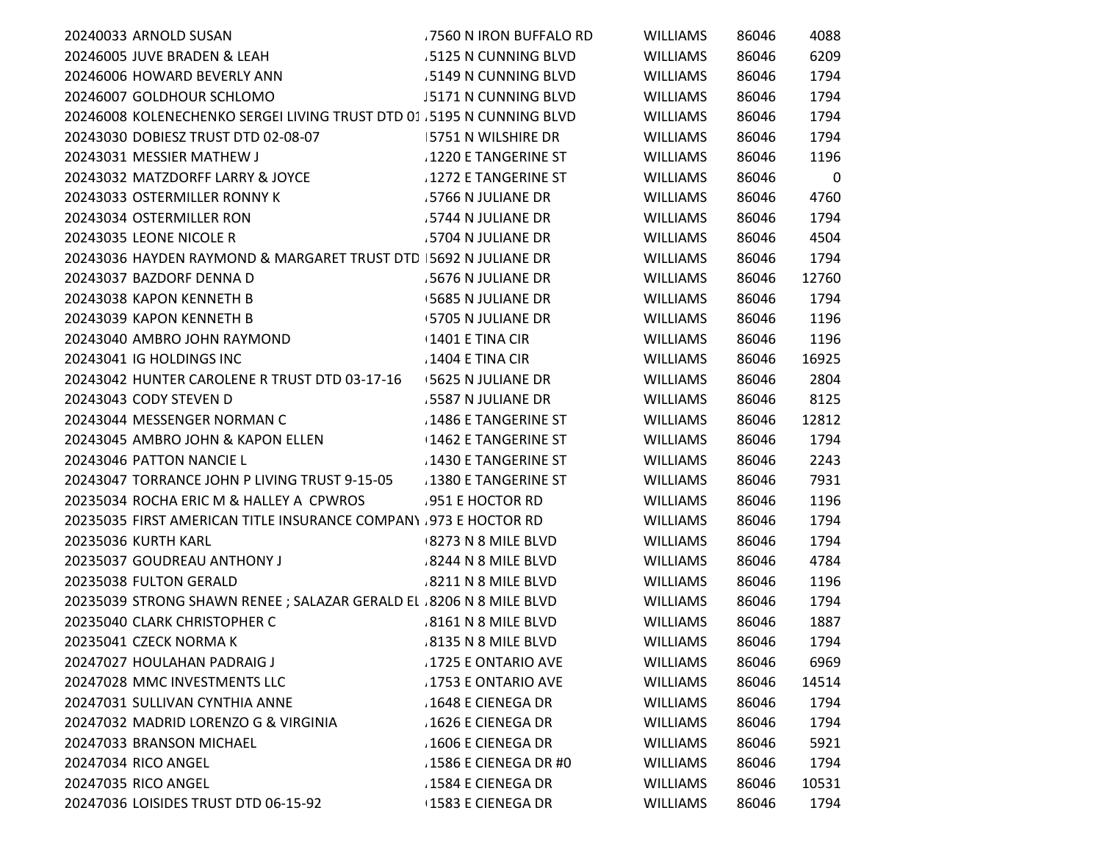| 20240033 ARNOLD SUSAN                                                 | .7560 N IRON BUFFALO RD     | <b>WILLIAMS</b> | 86046 | 4088  |
|-----------------------------------------------------------------------|-----------------------------|-----------------|-------|-------|
| 20246005 JUVE BRADEN & LEAH                                           | .5125 N CUNNING BLVD        | <b>WILLIAMS</b> | 86046 | 6209  |
| 20246006 HOWARD BEVERLY ANN                                           | 5149 N CUNNING BLVD         | <b>WILLIAMS</b> | 86046 | 1794  |
| 20246007 GOLDHOUR SCHLOMO                                             | <b>J5171 N CUNNING BLVD</b> | <b>WILLIAMS</b> | 86046 | 1794  |
| 20246008 KOLENECHENKO SERGEI LIVING TRUST DTD 01 .5195 N CUNNING BLVD |                             | <b>WILLIAMS</b> | 86046 | 1794  |
| 20243030 DOBIESZ TRUST DTD 02-08-07                                   | 5751 N WILSHIRE DR          | <b>WILLIAMS</b> | 86046 | 1794  |
| 20243031 MESSIER MATHEW J                                             | 1220 E TANGERINE ST         | <b>WILLIAMS</b> | 86046 | 1196  |
| 20243032 MATZDORFF LARRY & JOYCE                                      | 1272 E TANGERINE ST         | <b>WILLIAMS</b> | 86046 | 0     |
| 20243033 OSTERMILLER RONNY K                                          | 5766 N JULIANE DR           | <b>WILLIAMS</b> | 86046 | 4760  |
| 20243034 OSTERMILLER RON                                              | 5744 N JULIANE DR           | <b>WILLIAMS</b> | 86046 | 1794  |
| 20243035 LEONE NICOLE R                                               | 5704 N JULIANE DR           | <b>WILLIAMS</b> | 86046 | 4504  |
| 20243036 HAYDEN RAYMOND & MARGARET TRUST DTD 5692 N JULIANE DR        |                             | <b>WILLIAMS</b> | 86046 | 1794  |
| 20243037 BAZDORF DENNA D                                              | .5676 N JULIANE DR          | <b>WILLIAMS</b> | 86046 | 12760 |
| 20243038 KAPON KENNETH B                                              | <b>5685 N JULIANE DR</b>    | <b>WILLIAMS</b> | 86046 | 1794  |
| 20243039 KAPON KENNETH B                                              | 5705 N JULIANE DR           | WILLIAMS        | 86046 | 1196  |
| 20243040 AMBRO JOHN RAYMOND                                           | $1401$ E TINA CIR           | <b>WILLIAMS</b> | 86046 | 1196  |
| 20243041 IG HOLDINGS INC                                              | 1404 E TINA CIR             | <b>WILLIAMS</b> | 86046 | 16925 |
| 20243042 HUNTER CAROLENE R TRUST DTD 03-17-16                         | <b>5625 N JULIANE DR</b>    | <b>WILLIAMS</b> | 86046 | 2804  |
| 20243043 CODY STEVEN D                                                | .5587 N JULIANE DR          | <b>WILLIAMS</b> | 86046 | 8125  |
| 20243044 MESSENGER NORMAN C                                           | .1486 E TANGERINE ST        | <b>WILLIAMS</b> | 86046 | 12812 |
| 20243045 AMBRO JOHN & KAPON ELLEN                                     | $\pm 1462$ E TANGERINE ST   | <b>WILLIAMS</b> | 86046 | 1794  |
| 20243046 PATTON NANCIE L                                              | 1430 E TANGERINE ST         | <b>WILLIAMS</b> | 86046 | 2243  |
| 20243047 TORRANCE JOHN P LIVING TRUST 9-15-05                         | .1380 E TANGERINE ST        | <b>WILLIAMS</b> | 86046 | 7931  |
| 20235034 ROCHA ERIC M & HALLEY A CPWROS                               | .951 E HOCTOR RD            | <b>WILLIAMS</b> | 86046 | 1196  |
| 20235035 FIRST AMERICAN TITLE INSURANCE COMPANY 973 E HOCTOR RD       |                             | <b>WILLIAMS</b> | 86046 | 1794  |
| 20235036 KURTH KARL                                                   | 8273 N 8 MILE BLVD          | <b>WILLIAMS</b> | 86046 | 1794  |
| 20235037 GOUDREAU ANTHONY J                                           | 8244 N 8 MILE BLVD          | <b>WILLIAMS</b> | 86046 | 4784  |
| 20235038 FULTON GERALD                                                | 8211 N 8 MILE BLVD          | <b>WILLIAMS</b> | 86046 | 1196  |
| 20235039 STRONG SHAWN RENEE ; SALAZAR GERALD EL 8206 N 8 MILE BLVD    |                             | <b>WILLIAMS</b> | 86046 | 1794  |
| 20235040 CLARK CHRISTOPHER C                                          | .8161 N 8 MILE BLVD         | <b>WILLIAMS</b> | 86046 | 1887  |
| 20235041 CZECK NORMA K                                                | .8135 N 8 MILE BLVD         | <b>WILLIAMS</b> | 86046 | 1794  |
| 20247027 HOULAHAN PADRAIG J                                           | 1725 E ONTARIO AVE          | <b>WILLIAMS</b> | 86046 | 6969  |
| 20247028 MMC INVESTMENTS LLC                                          | .1753 E ONTARIO AVE         | <b>WILLIAMS</b> | 86046 | 14514 |
| 20247031 SULLIVAN CYNTHIA ANNE                                        | .1648 E CIENEGA DR          | WILLIAMS        | 86046 | 1794  |
| 20247032 MADRID LORENZO G & VIRGINIA                                  | 1626 E CIENEGA DR           | <b>WILLIAMS</b> | 86046 | 1794  |
| 20247033 BRANSON MICHAEL                                              | .1606 E CIENEGA DR          | <b>WILLIAMS</b> | 86046 | 5921  |
| 20247034 RICO ANGEL                                                   | .1586 E CIENEGA DR #0       | <b>WILLIAMS</b> | 86046 | 1794  |
| 20247035 RICO ANGEL                                                   | 1584 E CIENEGA DR           | <b>WILLIAMS</b> | 86046 | 10531 |
| 20247036 LOISIDES TRUST DTD 06-15-92                                  | 1583 E CIENEGA DR           | <b>WILLIAMS</b> | 86046 | 1794  |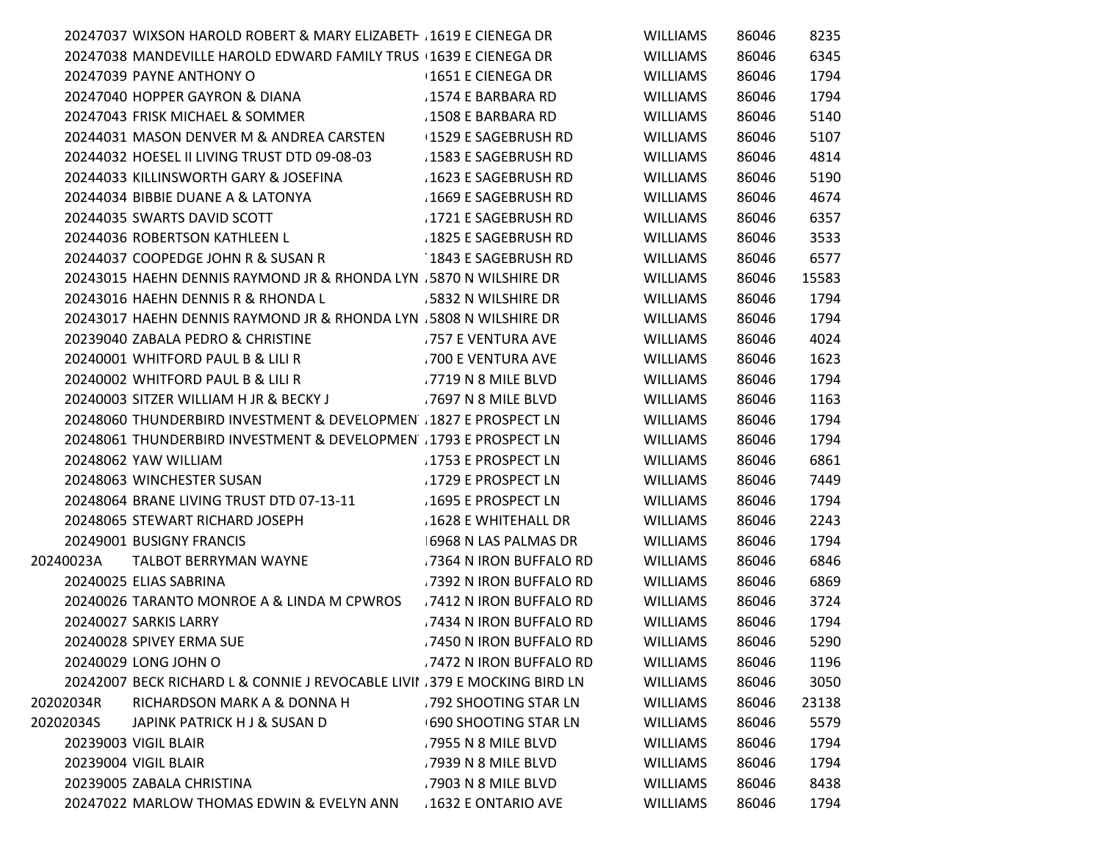|           | 20247037 WIXSON HAROLD ROBERT & MARY ELIZABETH . 1619 E CIENEGA DR         |                             | <b>WILLIAMS</b> | 86046 | 8235  |
|-----------|----------------------------------------------------------------------------|-----------------------------|-----------------|-------|-------|
|           | 20247038 MANDEVILLE HAROLD EDWARD FAMILY TRUS 1639 E CIENEGA DR            |                             | <b>WILLIAMS</b> | 86046 | 6345  |
|           | 20247039 PAYNE ANTHONY O                                                   | 1651 E CIENEGA DR           | <b>WILLIAMS</b> | 86046 | 1794  |
|           | 20247040 HOPPER GAYRON & DIANA                                             | .1574 E BARBARA RD          | <b>WILLIAMS</b> | 86046 | 1794  |
|           | 20247043 FRISK MICHAEL & SOMMER                                            | .1508 E BARBARA RD          | <b>WILLIAMS</b> | 86046 | 5140  |
|           | 20244031 MASON DENVER M & ANDREA CARSTEN                                   | +1529 E SAGEBRUSH RD        | <b>WILLIAMS</b> | 86046 | 5107  |
|           | 20244032 HOESEL II LIVING TRUST DTD 09-08-03                               | 1583 E SAGEBRUSH RD         | <b>WILLIAMS</b> | 86046 | 4814  |
|           | 20244033 KILLINSWORTH GARY & JOSEFINA                                      | 1623 E SAGEBRUSH RD         | <b>WILLIAMS</b> | 86046 | 5190  |
|           | 20244034 BIBBIE DUANE A & LATONYA                                          | 1669 E SAGEBRUSH RD         | <b>WILLIAMS</b> | 86046 | 4674  |
|           | 20244035 SWARTS DAVID SCOTT                                                | 1721 E SAGEBRUSH RD         | <b>WILLIAMS</b> | 86046 | 6357  |
|           | 20244036 ROBERTSON KATHLEEN L                                              | 1825 E SAGEBRUSH RD         | <b>WILLIAMS</b> | 86046 | 3533  |
|           | 20244037 COOPEDGE JOHN R & SUSAN R                                         | 1843 E SAGEBRUSH RD         | WILLIAMS        | 86046 | 6577  |
|           | 20243015 HAEHN DENNIS RAYMOND JR & RHONDA LYN .5870 N WILSHIRE DR          |                             | <b>WILLIAMS</b> | 86046 | 15583 |
|           | 20243016 HAEHN DENNIS R & RHONDA L                                         | 5832 N WILSHIRE DR          | <b>WILLIAMS</b> | 86046 | 1794  |
|           | 20243017 HAEHN DENNIS RAYMOND JR & RHONDA LYN .5808 N WILSHIRE DR          |                             | <b>WILLIAMS</b> | 86046 | 1794  |
|           | 20239040 ZABALA PEDRO & CHRISTINE                                          | .757 E VENTURA AVE          | <b>WILLIAMS</b> | 86046 | 4024  |
|           | 20240001 WHITFORD PAUL B & LILI R                                          | .700 E VENTURA AVE          | <b>WILLIAMS</b> | 86046 | 1623  |
|           | 20240002 WHITFORD PAUL B & LILI R                                          | .7719 N 8 MILE BLVD         | <b>WILLIAMS</b> | 86046 | 1794  |
|           | 20240003 SITZER WILLIAM H JR & BECKY J                                     | .7697 N 8 MILE BLVD         | <b>WILLIAMS</b> | 86046 | 1163  |
|           | 20248060 THUNDERBIRD INVESTMENT & DEVELOPMEN 1827 E PROSPECT LN            |                             | <b>WILLIAMS</b> | 86046 | 1794  |
|           | 20248061 THUNDERBIRD INVESTMENT & DEVELOPMEN 1793 E PROSPECT LN            |                             | <b>WILLIAMS</b> | 86046 | 1794  |
|           | 20248062 YAW WILLIAM                                                       | 1753 E PROSPECT LN          | <b>WILLIAMS</b> | 86046 | 6861  |
|           | 20248063 WINCHESTER SUSAN                                                  | 1729 E PROSPECT LN          | <b>WILLIAMS</b> | 86046 | 7449  |
|           | 20248064 BRANE LIVING TRUST DTD 07-13-11                                   | .1695 E PROSPECT LN         | <b>WILLIAMS</b> | 86046 | 1794  |
|           | 20248065 STEWART RICHARD JOSEPH                                            | 1628 E WHITEHALL DR         | <b>WILLIAMS</b> | 86046 | 2243  |
|           | 20249001 BUSIGNY FRANCIS                                                   | 6968 N LAS PALMAS DR        | <b>WILLIAMS</b> | 86046 | 1794  |
| 20240023A | TALBOT BERRYMAN WAYNE                                                      | .7364 N IRON BUFFALO RD     | <b>WILLIAMS</b> | 86046 | 6846  |
|           | 20240025 ELIAS SABRINA                                                     | .7392 N IRON BUFFALO RD     | <b>WILLIAMS</b> | 86046 | 6869  |
|           | 20240026 TARANTO MONROE A & LINDA M CPWROS                                 | 7412 N IRON BUFFALO RD      | <b>WILLIAMS</b> | 86046 | 3724  |
|           | 20240027 SARKIS LARRY                                                      | .7434 N IRON BUFFALO RD     | WILLIAMS        | 86046 | 1794  |
|           | 20240028 SPIVEY ERMA SUE                                                   | .7450 N IRON BUFFALO RD     | <b>WILLIAMS</b> | 86046 | 5290  |
|           | 20240029 LONG JOHN O                                                       | 7472 N IRON BUFFALO RD      | <b>WILLIAMS</b> | 86046 | 1196  |
|           | 20242007 BECK RICHARD L & CONNIE J REVOCABLE LIVII . 379 E MOCKING BIRD LN |                             | <b>WILLIAMS</b> | 86046 | 3050  |
| 20202034R | RICHARDSON MARK A & DONNA H                                                | 792 SHOOTING STAR LN        | <b>WILLIAMS</b> | 86046 | 23138 |
| 20202034S | JAPINK PATRICK H J & SUSAN D                                               | <b>690 SHOOTING STAR LN</b> | <b>WILLIAMS</b> | 86046 | 5579  |
|           | 20239003 VIGIL BLAIR                                                       | .7955 N 8 MILE BLVD         | <b>WILLIAMS</b> | 86046 | 1794  |
|           | 20239004 VIGIL BLAIR                                                       | .7939 N 8 MILE BLVD         | WILLIAMS        | 86046 | 1794  |
|           | 20239005 ZABALA CHRISTINA                                                  | .7903 N 8 MILE BLVD         | <b>WILLIAMS</b> | 86046 | 8438  |
|           | 20247022 MARLOW THOMAS EDWIN & EVELYN ANN                                  | 1632 E ONTARIO AVE          | <b>WILLIAMS</b> | 86046 | 1794  |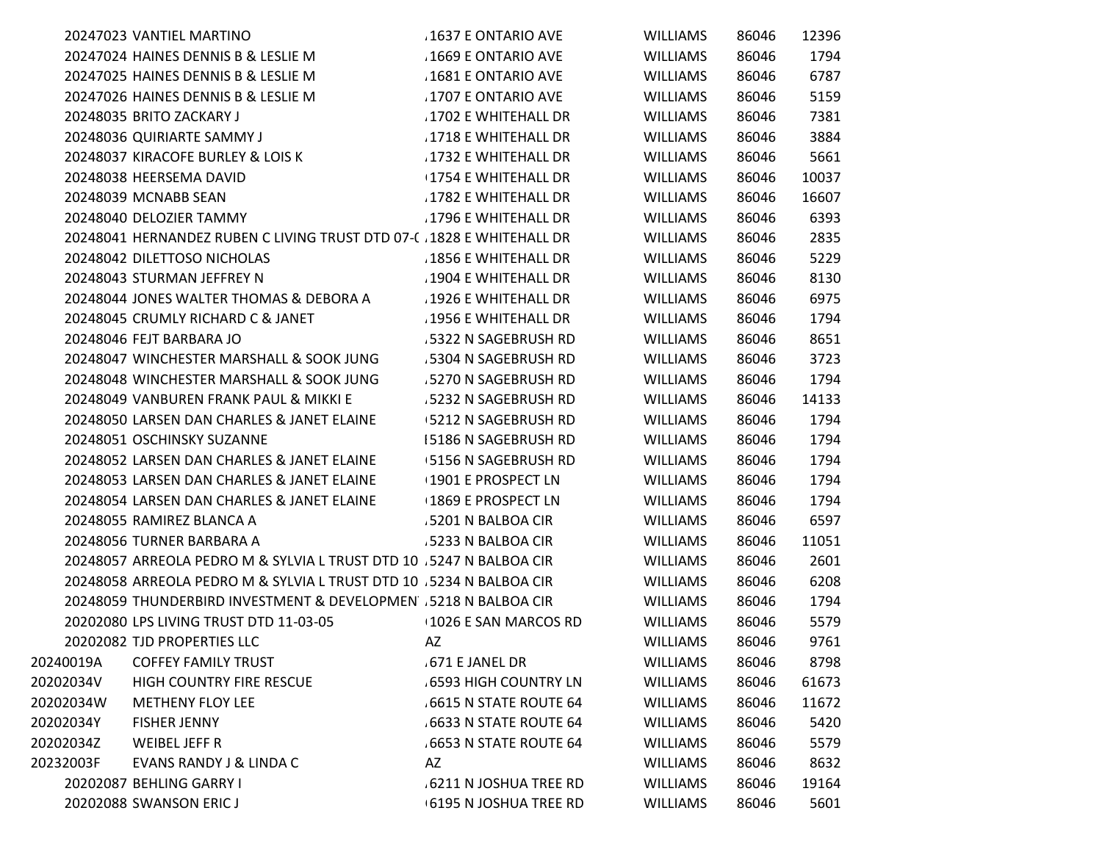|           | 20247023 VANTIEL MARTINO                                             | .1637 E ONTARIO AVE         | <b>WILLIAMS</b> | 86046 | 12396 |
|-----------|----------------------------------------------------------------------|-----------------------------|-----------------|-------|-------|
|           | 20247024 HAINES DENNIS B & LESLIE M                                  | 1669 E ONTARIO AVE          | <b>WILLIAMS</b> | 86046 | 1794  |
|           | 20247025 HAINES DENNIS B & LESLIE M                                  | 1681 E ONTARIO AVE          | <b>WILLIAMS</b> | 86046 | 6787  |
|           | 20247026 HAINES DENNIS B & LESLIE M                                  | 1707 E ONTARIO AVE          | <b>WILLIAMS</b> | 86046 | 5159  |
|           | 20248035 BRITO ZACKARY J                                             | 1702 E WHITEHALL DR         | <b>WILLIAMS</b> | 86046 | 7381  |
|           | 20248036 QUIRIARTE SAMMY J                                           | .1718 E WHITEHALL DR        | <b>WILLIAMS</b> | 86046 | 3884  |
|           | 20248037 KIRACOFE BURLEY & LOIS K                                    | .1732 E WHITEHALL DR        | <b>WILLIAMS</b> | 86046 | 5661  |
|           | 20248038 HEERSEMA DAVID                                              | 1754 E WHITEHALL DR         | <b>WILLIAMS</b> | 86046 | 10037 |
|           | 20248039 MCNABB SEAN                                                 | 1782 E WHITEHALL DR         | <b>WILLIAMS</b> | 86046 | 16607 |
|           | 20248040 DELOZIER TAMMY                                              | 1796 E WHITEHALL DR         | <b>WILLIAMS</b> | 86046 | 6393  |
|           | 20248041 HERNANDEZ RUBEN C LIVING TRUST DTD 07-( 1828 E WHITEHALL DR |                             | <b>WILLIAMS</b> | 86046 | 2835  |
|           | 20248042 DILETTOSO NICHOLAS                                          | 1856 E WHITEHALL DR         | WILLIAMS        | 86046 | 5229  |
|           | 20248043 STURMAN JEFFREY N                                           | .1904 E WHITEHALL DR        | <b>WILLIAMS</b> | 86046 | 8130  |
|           | 20248044 JONES WALTER THOMAS & DEBORA A                              | .1926 E WHITEHALL DR        | <b>WILLIAMS</b> | 86046 | 6975  |
|           | 20248045 CRUMLY RICHARD C & JANET                                    | .1956 E WHITEHALL DR        | <b>WILLIAMS</b> | 86046 | 1794  |
|           | 20248046 FEJT BARBARA JO                                             | 5322 N SAGEBRUSH RD         | <b>WILLIAMS</b> | 86046 | 8651  |
|           | 20248047 WINCHESTER MARSHALL & SOOK JUNG                             | 5304 N SAGEBRUSH RD         | <b>WILLIAMS</b> | 86046 | 3723  |
|           | 20248048 WINCHESTER MARSHALL & SOOK JUNG                             | 5270 N SAGEBRUSH RD         | <b>WILLIAMS</b> | 86046 | 1794  |
|           | 20248049 VANBUREN FRANK PAUL & MIKKI E                               | .5232 N SAGEBRUSH RD        | <b>WILLIAMS</b> | 86046 | 14133 |
|           | 20248050 LARSEN DAN CHARLES & JANET ELAINE                           | +5212 N SAGEBRUSH RD        | <b>WILLIAMS</b> | 86046 | 1794  |
|           | 20248051 OSCHINSKY SUZANNE                                           | 15186 N SAGEBRUSH RD        | <b>WILLIAMS</b> | 86046 | 1794  |
|           | 20248052 LARSEN DAN CHARLES & JANET ELAINE                           | 5156 N SAGEBRUSH RD         | <b>WILLIAMS</b> | 86046 | 1794  |
|           | 20248053 LARSEN DAN CHARLES & JANET ELAINE                           | <b>1901 E PROSPECT LN</b>   | <b>WILLIAMS</b> | 86046 | 1794  |
|           | 20248054 LARSEN DAN CHARLES & JANET ELAINE                           | +1869 E PROSPECT LN         | <b>WILLIAMS</b> | 86046 | 1794  |
|           | 20248055 RAMIREZ BLANCA A                                            | .5201 N BALBOA CIR          | <b>WILLIAMS</b> | 86046 | 6597  |
|           | 20248056 TURNER BARBARA A                                            | .5233 N BALBOA CIR          | <b>WILLIAMS</b> | 86046 | 11051 |
|           | 20248057 ARREOLA PEDRO M & SYLVIA L TRUST DTD 10 .5247 N BALBOA CIR  |                             | <b>WILLIAMS</b> | 86046 | 2601  |
|           | 20248058 ARREOLA PEDRO M & SYLVIA L TRUST DTD 10 .5234 N BALBOA CIR  |                             | <b>WILLIAMS</b> | 86046 | 6208  |
|           | 20248059 THUNDERBIRD INVESTMENT & DEVELOPMEN 5218 N BALBOA CIR       |                             | <b>WILLIAMS</b> | 86046 | 1794  |
|           | 20202080 LPS LIVING TRUST DTD 11-03-05                               | 1026 E SAN MARCOS RD        | <b>WILLIAMS</b> | 86046 | 5579  |
|           | 20202082 TJD PROPERTIES LLC                                          | AZ                          | <b>WILLIAMS</b> | 86046 | 9761  |
| 20240019A | <b>COFFEY FAMILY TRUST</b>                                           | 671 E JANEL DR              | WILLIAMS        | 86046 | 8798  |
| 20202034V | HIGH COUNTRY FIRE RESCUE                                             | <b>6593 HIGH COUNTRY LN</b> | <b>WILLIAMS</b> | 86046 | 61673 |
| 20202034W | <b>METHENY FLOY LEE</b>                                              | 6615 N STATE ROUTE 64       | <b>WILLIAMS</b> | 86046 | 11672 |
| 20202034Y | <b>FISHER JENNY</b>                                                  | .6633 N STATE ROUTE 64      | <b>WILLIAMS</b> | 86046 | 5420  |
| 20202034Z | <b>WEIBEL JEFF R</b>                                                 | 6653 N STATE ROUTE 64       | <b>WILLIAMS</b> | 86046 | 5579  |
| 20232003F | EVANS RANDY J & LINDA C                                              | AZ                          | <b>WILLIAMS</b> | 86046 | 8632  |
|           | 20202087 BEHLING GARRY I                                             | 6211 N JOSHUA TREE RD       | WILLIAMS        | 86046 | 19164 |
|           | 20202088 SWANSON ERIC J                                              | 6195 N JOSHUA TREE RD       | WILLIAMS        | 86046 | 5601  |